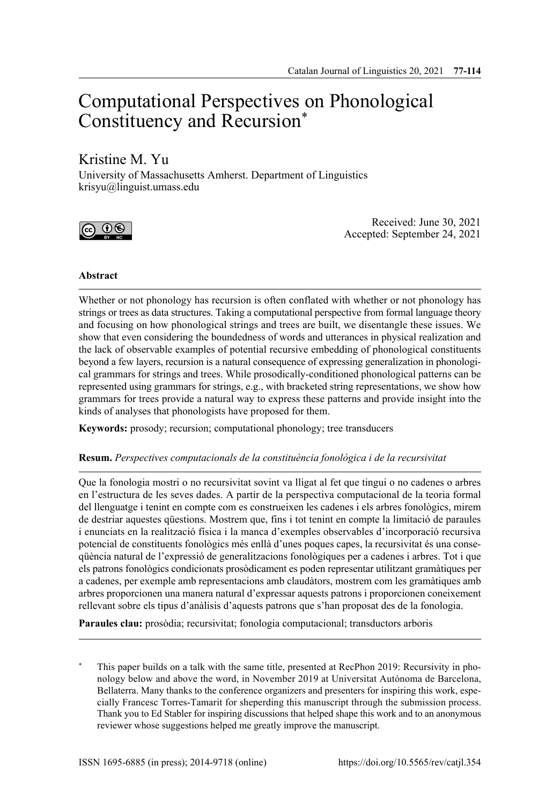# Computational Perspectives on Phonological Constituency and Recursion\*

## Kristine M. Yu

University of Massachusetts Amherst. Department of Linguistics krisyu@linguist.umass.edu



Received: June 30, 2021 Accepted: September 24, 2021

## **Abstract**

Whether or not phonology has recursion is often conflated with whether or not phonology has strings or trees as data structures. Taking a computational perspective from formal language theory and focusing on how phonological strings and trees are built, we disentangle these issues. We show that even considering the boundedness of words and utterances in physical realization and the lack of observable examples of potential recursive embedding of phonological constituents beyond a few layers, recursion is a natural consequence of expressing generalization in phonological grammars for strings and trees. While prosodically-conditioned phonological patterns can be represented using grammars for strings, e.g., with bracketed string representations, we show how grammars for trees provide a natural way to express these patterns and provide insight into the kinds of analyses that phonologists have proposed for them.

**Keywords:** prosody; recursion; computational phonology; tree transducers

#### **Resum.** *Perspectives computacionals de la constituència fonològica i de la recursivitat*

Que la fonologia mostri o no recursivitat sovint va lligat al fet que tingui o no cadenes o arbres en l'estructura de les seves dades. A partir de la perspectiva computacional de la teoria formal del llenguatge i tenint en compte com es construeixen les cadenes i els arbres fonològics, mirem de destriar aquestes qüestions. Mostrem que, fins i tot tenint en compte la limitació de paraules i enunciats en la realització física i la manca d'exemples observables d'incorporació recursiva potencial de constituents fonològics més enllà d'unes poques capes, la recursivitat és una conseqüència natural de l'expressió de generalitzacions fonològiques per a cadenes i arbres. Tot i que els patrons fonològics condicionats prosòdicament es poden representar utilitzant gramàtiques per a cadenes, per exemple amb representacions amb claudàtors, mostrem com les gramàtiques amb arbres proporcionen una manera natural d'expressar aquests patrons i proporcionen coneixement rellevant sobre els tipus d'anàlisis d'aquests patrons que s'han proposat des de la fonologia.

**Paraules clau:** prosòdia; recursivitat; fonologia computacional; transductors arboris

This paper builds on a talk with the same title, presented at RecPhon 2019: Recursivity in phonology below and above the word, in November 2019 at Universitat Autònoma de Barcelona, Bellaterra. Many thanks to the conference organizers and presenters for inspiring this work, especially Francesc Torres-Tamarit for sheperding this manuscript through the submission process. Thank you to Ed Stabler for inspiring discussions that helped shape this work and to an anonymous reviewer whose suggestions helped me greatly improve the manuscript.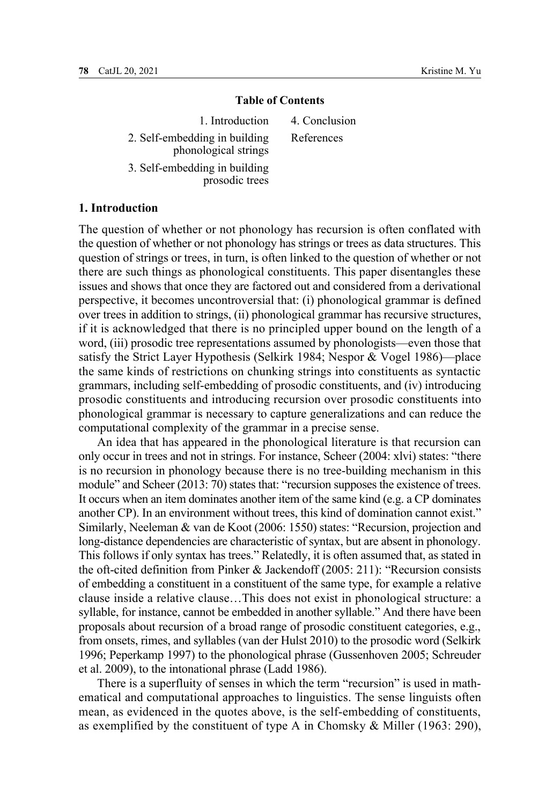#### **Table of Contents**

1. Introduction 2. Self-embedding in building phonological strings 3. Self-embedding in building prosodic trees 4. Conclusion References

## **1. Introduction**

The question of whether or not phonology has recursion is often conflated with the question of whether or not phonology has strings or trees as data structures. This question of strings or trees, in turn, is often linked to the question of whether or not there are such things as phonological constituents. This paper disentangles these issues and shows that once they are factored out and considered from a derivational perspective, it becomes uncontroversial that: (i) phonological grammar is defined over trees in addition to strings, (ii) phonological grammar has recursive structures, if it is acknowledged that there is no principled upper bound on the length of a word, (iii) prosodic tree representations assumed by phonologists—even those that satisfy the Strict Layer Hypothesis (Selkirk 1984; Nespor & Vogel 1986)—place the same kinds of restrictions on chunking strings into constituents as syntactic grammars, including self-embedding of prosodic constituents, and (iv) introducing prosodic constituents and introducing recursion over prosodic constituents into phonological grammar is necessary to capture generalizations and can reduce the computational complexity of the grammar in a precise sense.

An idea that has appeared in the phonological literature is that recursion can only occur in trees and not in strings. For instance, Scheer (2004: xlvi) states: "there is no recursion in phonology because there is no tree-building mechanism in this module" and Scheer (2013: 70) states that: "recursion supposes the existence of trees. It occurs when an item dominates another item of the same kind (e.g. a CP dominates another CP). In an environment without trees, this kind of domination cannot exist." Similarly, Neeleman & van de Koot (2006: 1550) states: "Recursion, projection and long-distance dependencies are characteristic of syntax, but are absent in phonology. This follows if only syntax has trees." Relatedly, it is often assumed that, as stated in the oft-cited definition from Pinker & Jackendoff (2005: 211): "Recursion consists of embedding a constituent in a constituent of the same type, for example a relative clause inside a relative clause…This does not exist in phonological structure: a syllable, for instance, cannot be embedded in another syllable." And there have been proposals about recursion of a broad range of prosodic constituent categories, e.g., from onsets, rimes, and syllables (van der Hulst 2010) to the prosodic word (Selkirk 1996; Peperkamp 1997) to the phonological phrase (Gussenhoven 2005; Schreuder et al. 2009), to the intonational phrase (Ladd 1986).

There is a superfluity of senses in which the term "recursion" is used in mathematical and computational approaches to linguistics. The sense linguists often mean, as evidenced in the quotes above, is the self-embedding of constituents, as exemplified by the constituent of type A in Chomsky & Miller (1963: 290),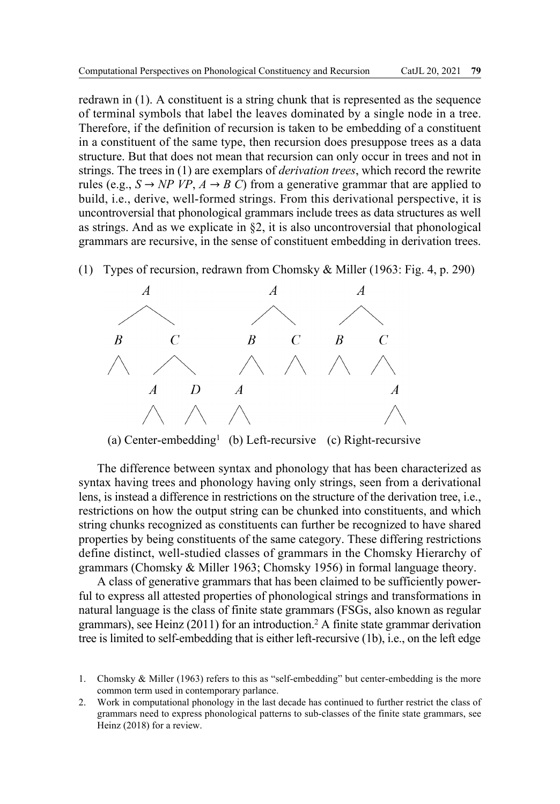redrawn in (1). A constituent is a string chunk that is represented as the sequence of terminal symbols that label the leaves dominated by a single node in a tree. Therefore, if the definition of recursion is taken to be embedding of a constituent in a constituent of the same type, then recursion does presuppose trees as a data structure. But that does not mean that recursion can only occur in trees and not in strings. The trees in (1) are exemplars of *derivation trees*, which record the rewrite rules (e.g.,  $S \rightarrow NP VP$ ,  $A \rightarrow B$  C) from a generative grammar that are applied to build, i.e., derive, well-formed strings. From this derivational perspective, it is uncontroversial that phonological grammars include trees as data structures as well as strings. And as we explicate in §2, it is also uncontroversial that phonological grammars are recursive, in the sense of constituent embedding in derivation trees.

(1) Types of recursion, redrawn from Chomsky & Miller (1963: Fig. 4, p. 290)



(a) Center-embedding<sup>1</sup> (b) Left-recursive (c) Right-recursive

The difference between syntax and phonology that has been characterized as syntax having trees and phonology having only strings, seen from a derivational lens, is instead a difference in restrictions on the structure of the derivation tree, i.e., restrictions on how the output string can be chunked into constituents, and which string chunks recognized as constituents can further be recognized to have shared properties by being constituents of the same category. These differing restrictions define distinct, well-studied classes of grammars in the Chomsky Hierarchy of grammars (Chomsky & Miller 1963; Chomsky 1956) in formal language theory.

A class of generative grammars that has been claimed to be sufficiently powerful to express all attested properties of phonological strings and transformations in natural language is the class of finite state grammars (FSGs, also known as regular grammars), see Heinz (2011) for an introduction.2 A finite state grammar derivation tree is limited to self-embedding that is either left-recursive (1b), i.e., on the left edge

- 1. Chomsky & Miller (1963) refers to this as "self-embedding" but center-embedding is the more common term used in contemporary parlance.
- 2. Work in computational phonology in the last decade has continued to further restrict the class of grammars need to express phonological patterns to sub-classes of the finite state grammars, see Heinz (2018) for a review.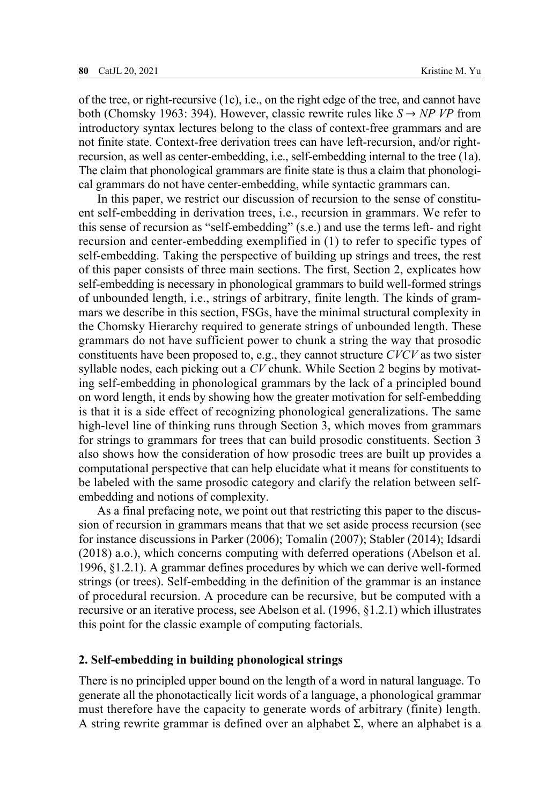of the tree, or right-recursive (1c), i.e., on the right edge of the tree, and cannot have both (Chomsky 1963: 394). However, classic rewrite rules like  $S \rightarrow NP VP$  from introductory syntax lectures belong to the class of context-free grammars and are not finite state. Context-free derivation trees can have left-recursion, and/or rightrecursion, as well as center-embedding, i.e., self-embedding internal to the tree (1a). The claim that phonological grammars are finite state is thus a claim that phonological grammars do not have center-embedding, while syntactic grammars can.

In this paper, we restrict our discussion of recursion to the sense of constituent self-embedding in derivation trees, i.e., recursion in grammars. We refer to this sense of recursion as "self-embedding" (s.e.) and use the terms left- and right recursion and center-embedding exemplified in (1) to refer to specific types of self-embedding. Taking the perspective of building up strings and trees, the rest of this paper consists of three main sections. The first, Section 2, explicates how self-embedding is necessary in phonological grammars to build well-formed strings of unbounded length, i.e., strings of arbitrary, finite length. The kinds of grammars we describe in this section, FSGs, have the minimal structural complexity in the Chomsky Hierarchy required to generate strings of unbounded length. These grammars do not have sufficient power to chunk a string the way that prosodic constituents have been proposed to, e.g., they cannot structure *CVCV* as two sister syllable nodes, each picking out a *CV* chunk. While Section 2 begins by motivating self-embedding in phonological grammars by the lack of a principled bound on word length, it ends by showing how the greater motivation for self-embedding is that it is a side effect of recognizing phonological generalizations. The same high-level line of thinking runs through Section 3, which moves from grammars for strings to grammars for trees that can build prosodic constituents. Section 3 also shows how the consideration of how prosodic trees are built up provides a computational perspective that can help elucidate what it means for constituents to be labeled with the same prosodic category and clarify the relation between selfembedding and notions of complexity.

As a final prefacing note, we point out that restricting this paper to the discussion of recursion in grammars means that that we set aside process recursion (see for instance discussions in Parker (2006); Tomalin (2007); Stabler (2014); Idsardi (2018) a.o.), which concerns computing with deferred operations (Abelson et al. 1996, §1.2.1). A grammar defines procedures by which we can derive well-formed strings (or trees). Self-embedding in the definition of the grammar is an instance of procedural recursion. A procedure can be recursive, but be computed with a recursive or an iterative process, see Abelson et al. (1996, §1.2.1) which illustrates this point for the classic example of computing factorials.

#### **2. Self-embedding in building phonological strings**

There is no principled upper bound on the length of a word in natural language. To generate all the phonotactically licit words of a language, a phonological grammar must therefore have the capacity to generate words of arbitrary (finite) length. A string rewrite grammar is defined over an alphabet  $\Sigma$ , where an alphabet is a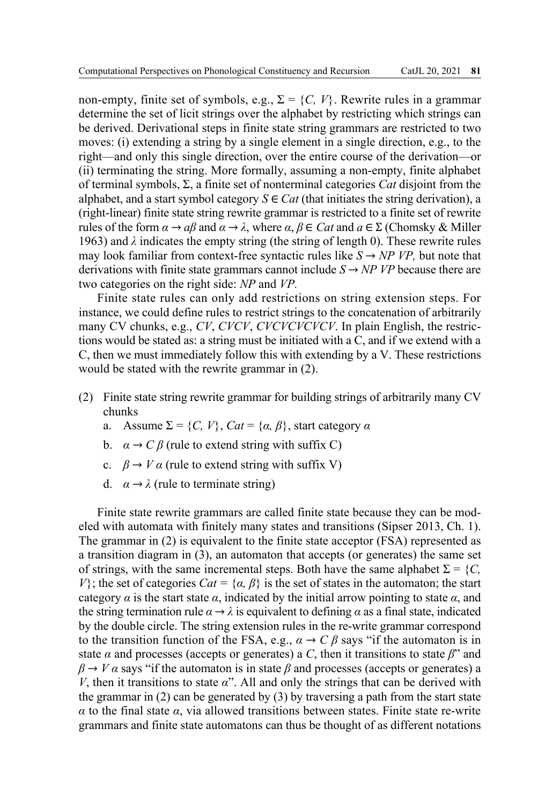non-empty, finite set of symbols, e.g.,  $\Sigma = \{C, V\}$ . Rewrite rules in a grammar determine the set of licit strings over the alphabet by restricting which strings can be derived. Derivational steps in finite state string grammars are restricted to two moves: (i) extending a string by a single element in a single direction, e.g., to the right—and only this single direction, over the entire course of the derivation—or (ii) terminating the string. More formally, assuming a non-empty, finite alphabet of terminal symbols, Σ, a finite set of nonterminal categories *Cat* disjoint from the alphabet, and a start symbol category  $S \in \text{Cat}$  (that initiates the string derivation), a (right-linear) finite state string rewrite grammar is restricted to a finite set of rewrite rules of the form *α* → *aβ* and *α* → *λ*, where *α*, *β* ∈ *Cat* and *a* ∈ Σ (Chomsky & Miller 1963) and  $\lambda$  indicates the empty string (the string of length 0). These rewrite rules may look familiar from context-free syntactic rules like  $S \rightarrow NP VP$ , but note that derivations with finite state grammars cannot include  $S \rightarrow NP VP$  because there are two categories on the right side: *NP* and *VP.*

Finite state rules can only add restrictions on string extension steps. For instance, we could define rules to restrict strings to the concatenation of arbitrarily many CV chunks, e.g., *CV*, *CVCV*, *CVCVCVCVCV*. In plain English, the restrictions would be stated as: a string must be initiated with a C, and if we extend with a C, then we must immediately follow this with extending by a V. These restrictions would be stated with the rewrite grammar in (2).

- (2) Finite state string rewrite grammar for building strings of arbitrarily many CV chunks
	- a. Assume  $\Sigma = \{C, V\}$ ,  $Cat = \{\alpha, \beta\}$ , start category  $\alpha$
	- b.  $\alpha \rightarrow C \beta$  (rule to extend string with suffix C)
	- c.  $\beta \rightarrow V \alpha$  (rule to extend string with suffix V)
	- d.  $\alpha \rightarrow \lambda$  (rule to terminate string)

Finite state rewrite grammars are called finite state because they can be modeled with automata with finitely many states and transitions (Sipser 2013, Ch. 1). The grammar in (2) is equivalent to the finite state acceptor (FSA) represented as a transition diagram in (3), an automaton that accepts (or generates) the same set of strings, with the same incremental steps. Both have the same alphabet  $\Sigma = \{C, \}$ *V*}; the set of categories  $Cat = \{a, \beta\}$  is the set of states in the automaton; the start category  $\alpha$  is the start state  $\alpha$ , indicated by the initial arrow pointing to state  $\alpha$ , and the string termination rule  $\alpha \rightarrow \lambda$  is equivalent to defining  $\alpha$  as a final state, indicated by the double circle. The string extension rules in the re-write grammar correspond to the transition function of the FSA, e.g.,  $\alpha \rightarrow C \beta$  says "if the automaton is in state  $\alpha$  and processes (accepts or generates) a *C*, then it transitions to state  $\beta$ " and  $\beta \rightarrow V \alpha$  says "if the automaton is in state  $\beta$  and processes (accepts or generates) a *V*, then it transitions to state  $\alpha$ ". All and only the strings that can be derived with the grammar in (2) can be generated by (3) by traversing a path from the start state *α* to the final state *α*, via allowed transitions between states. Finite state re-write grammars and finite state automatons can thus be thought of as different notations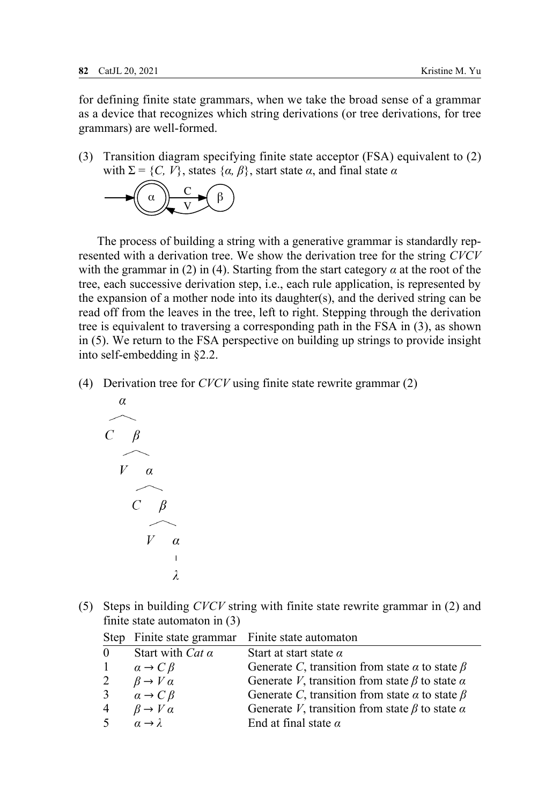for defining finite state grammars, when we take the broad sense of a grammar as a device that recognizes which string derivations (or tree derivations, for tree grammars) are well-formed.

(3) Transition diagram specifying finite state acceptor (FSA) equivalent to (2) with  $\Sigma = \{C, V\}$ , states  $\{\alpha, \beta\}$ , start state  $\alpha$ , and final state  $\alpha$ 



The process of building a string with a generative grammar is standardly represented with a derivation tree. We show the derivation tree for the string *CVCV*  with the grammar in (2) in (4). Starting from the start category  $\alpha$  at the root of the tree, each successive derivation step, i.e., each rule application, is represented by the expansion of a mother node into its daughter(s), and the derived string can be read off from the leaves in the tree, left to right. Stepping through the derivation tree is equivalent to traversing a corresponding path in the FSA in (3), as shown in (5). We return to the FSA perspective on building up strings to provide insight into self-embedding in §2.2.

(4) Derivation tree for *CVCV* using finite state rewrite grammar (2)



(5) Steps in building *CVCV* string with finite state rewrite grammar in (2) and finite state automaton in (3)

|                |                              | Step Finite state grammar Finite state automaton            |
|----------------|------------------------------|-------------------------------------------------------------|
| $\theta$       | Start with Cat $\alpha$      | Start at start state $\alpha$                               |
|                | $\alpha \rightarrow C \beta$ | Generate C, transition from state $\alpha$ to state $\beta$ |
| 2              | $\beta \rightarrow V \alpha$ | Generate V, transition from state $\beta$ to state $\alpha$ |
| 3              | $\alpha \rightarrow C \beta$ | Generate C, transition from state $\alpha$ to state $\beta$ |
| $\overline{4}$ | $\beta \rightarrow V \alpha$ | Generate V, transition from state $\beta$ to state $\alpha$ |
| -5             | $\alpha \rightarrow \lambda$ | End at final state $\alpha$                                 |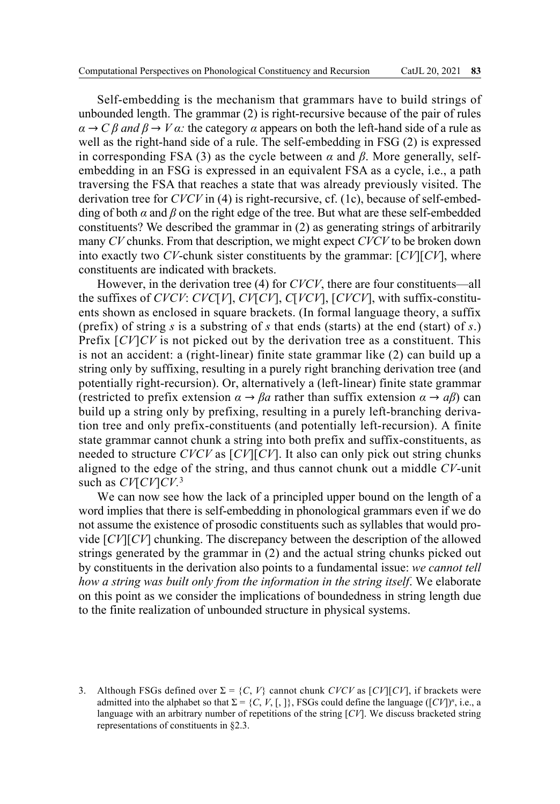Self-embedding is the mechanism that grammars have to build strings of unbounded length. The grammar (2) is right-recursive because of the pair of rules  $\alpha \rightarrow C \beta$  *and*  $\beta \rightarrow V \alpha$ : the category  $\alpha$  appears on both the left-hand side of a rule as well as the right-hand side of a rule. The self-embedding in FSG (2) is expressed in corresponding FSA (3) as the cycle between *α* and *β*. More generally, selfembedding in an FSG is expressed in an equivalent FSA as a cycle, i.e., a path traversing the FSA that reaches a state that was already previously visited. The derivation tree for *CVCV* in (4) is right-recursive, cf. (1c), because of self-embedding of both  $\alpha$  and  $\beta$  on the right edge of the tree. But what are these self-embedded constituents? We described the grammar in (2) as generating strings of arbitrarily many *CV* chunks. From that description, we might expect *CVCV* to be broken down into exactly two *CV*-chunk sister constituents by the grammar: [*CV*][*CV*], where constituents are indicated with brackets.

However, in the derivation tree (4) for *CVCV*, there are four constituents—all the suffixes of *CVCV*: *CVC*[*V*], *CV*[*CV*], *C*[*VCV*], [*CVCV*], with suffix-constituents shown as enclosed in square brackets. (In formal language theory, a suffix (prefix) of string *s* is a substring of *s* that ends (starts) at the end (start) of *s*.) Prefix [*CV*]*CV* is not picked out by the derivation tree as a constituent. This is not an accident: a (right-linear) finite state grammar like (2) can build up a string only by suffixing, resulting in a purely right branching derivation tree (and potentially right-recursion). Or, alternatively a (left-linear) finite state grammar (restricted to prefix extension  $\alpha \rightarrow \beta a$  rather than suffix extension  $\alpha \rightarrow a\beta$ ) can build up a string only by prefixing, resulting in a purely left-branching derivation tree and only prefix-constituents (and potentially left-recursion). A finite state grammar cannot chunk a string into both prefix and suffix-constituents, as needed to structure *CVCV* as [*CV*][*CV*]. It also can only pick out string chunks aligned to the edge of the string, and thus cannot chunk out a middle *CV*-unit such as *CV*[*CV*]*CV.*<sup>3</sup>

We can now see how the lack of a principled upper bound on the length of a word implies that there is self-embedding in phonological grammars even if we do not assume the existence of prosodic constituents such as syllables that would provide [*CV*][*CV*] chunking. The discrepancy between the description of the allowed strings generated by the grammar in (2) and the actual string chunks picked out by constituents in the derivation also points to a fundamental issue: *we cannot tell how a string was built only from the information in the string itself*. We elaborate on this point as we consider the implications of boundedness in string length due to the finite realization of unbounded structure in physical systems.

3. Although FSGs defined over  $\Sigma = \{C, V\}$  cannot chunk *CVCV* as  $[CV][CV]$ , if brackets were admitted into the alphabet so that  $\Sigma = \{C, V, [\, , \, ]\}$ , FSGs could define the language ( $[CV]$ )<sup>n</sup>, i.e., a language with an arbitrary number of repetitions of the string [*CV*]. We discuss bracketed string representations of constituents in §2.3.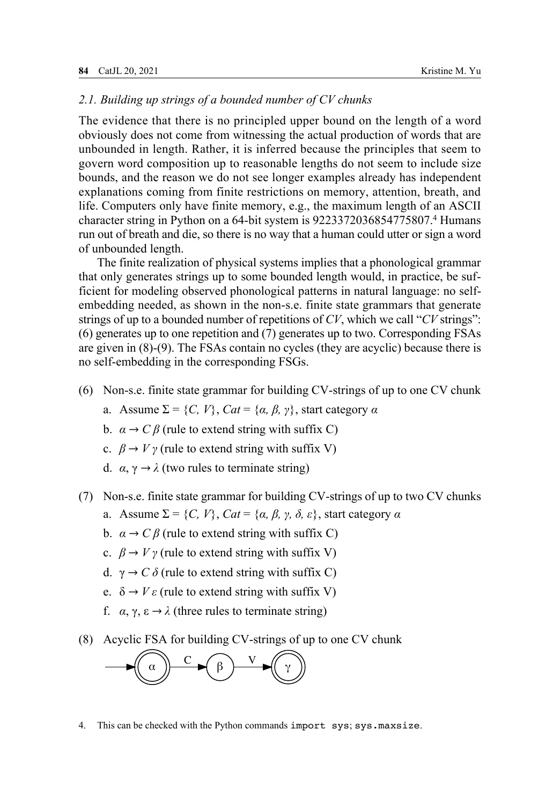## *2.1. Building up strings of a bounded number of CV chunks*

The evidence that there is no principled upper bound on the length of a word obviously does not come from witnessing the actual production of words that are unbounded in length. Rather, it is inferred because the principles that seem to govern word composition up to reasonable lengths do not seem to include size bounds, and the reason we do not see longer examples already has independent explanations coming from finite restrictions on memory, attention, breath, and life. Computers only have finite memory, e.g., the maximum length of an ASCII character string in Python on a 64-bit system is 9223372036854775807.4 Humans run out of breath and die, so there is no way that a human could utter or sign a word of unbounded length.

The finite realization of physical systems implies that a phonological grammar that only generates strings up to some bounded length would, in practice, be sufficient for modeling observed phonological patterns in natural language: no selfembedding needed, as shown in the non-s.e. finite state grammars that generate strings of up to a bounded number of repetitions of *CV*, which we call "*CV* strings": (6) generates up to one repetition and (7) generates up to two. Corresponding FSAs are given in (8)-(9). The FSAs contain no cycles (they are acyclic) because there is no self-embedding in the corresponding FSGs.

- (6) Non-s.e. finite state grammar for building CV-strings of up to one CV chunk
	- a. Assume  $\Sigma = \{C, V\}$ ,  $Cat = \{\alpha, \beta, \gamma\}$ , start category  $\alpha$
	- b. *α* → *C β* (rule to extend string with suffix C)
	- c.  $\beta \rightarrow V \gamma$  (rule to extend string with suffix V)
	- d.  $\alpha$ ,  $\gamma \rightarrow \lambda$  (two rules to terminate string)
- (7) Non-s.e. finite state grammar for building CV-strings of up to two CV chunks
	- a. Assume  $\Sigma = \{C, V\}$ ,  $Cat = \{\alpha, \beta, \gamma, \delta, \varepsilon\}$ , start category *α*
	- b. *α* → *C β* (rule to extend string with suffix C)
	- c.  $\beta \rightarrow V \gamma$  (rule to extend string with suffix V)
	- d.  $\gamma \rightarrow C \delta$  (rule to extend string with suffix C)
	- e.  $\delta \rightarrow V \varepsilon$  (rule to extend string with suffix V)
	- f. *α*, γ, ε → *λ* (three rules to terminate string)
- (8) Acyclic FSA for building CV-strings of up to one CV chunk



4. This can be checked with the Python commands import sys; sys.maxsize.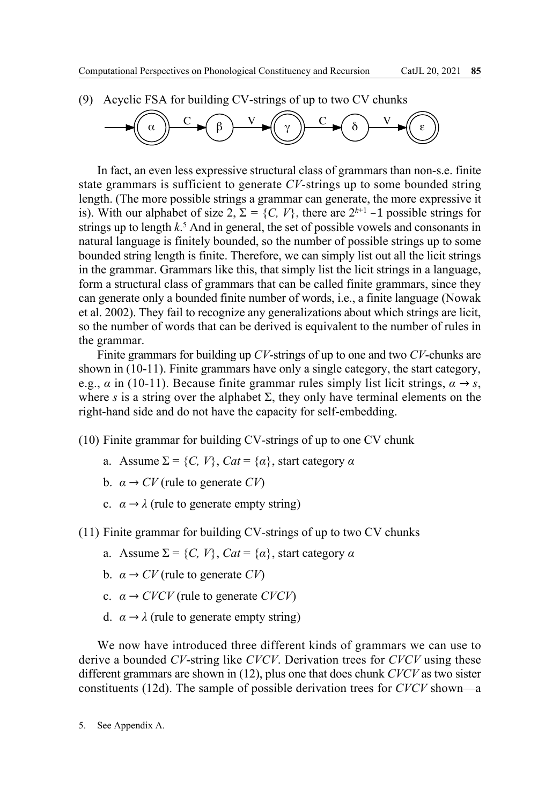(9) Acyclic FSA for building CV-strings of up to two CV chunks



In fact, an even less expressive structural class of grammars than non-s.e. finite state grammars is sufficient to generate *CV*-strings up to some bounded string length. (The more possible strings a grammar can generate, the more expressive it is). With our alphabet of size 2,  $\Sigma = \{C, V\}$ , there are  $2^{k+1}$  –1 possible strings for strings up to length *k*. 5 And in general, the set of possible vowels and consonants in natural language is finitely bounded, so the number of possible strings up to some bounded string length is finite. Therefore, we can simply list out all the licit strings in the grammar. Grammars like this, that simply list the licit strings in a language, form a structural class of grammars that can be called finite grammars, since they can generate only a bounded finite number of words, i.e., a finite language (Nowak et al. 2002). They fail to recognize any generalizations about which strings are licit, so the number of words that can be derived is equivalent to the number of rules in the grammar.

Finite grammars for building up *CV*-strings of up to one and two *CV*-chunks are shown in (10-11). Finite grammars have only a single category, the start category, e.g.,  $\alpha$  in (10-11). Because finite grammar rules simply list licit strings,  $\alpha \rightarrow s$ , where *s* is a string over the alphabet  $\Sigma$ , they only have terminal elements on the right-hand side and do not have the capacity for self-embedding.

(10) Finite grammar for building CV-strings of up to one CV chunk

- a. Assume  $\Sigma = \{C, V\}$ ,  $Cat = \{\alpha\}$ , start category  $\alpha$
- b.  $\alpha \rightarrow CV$  (rule to generate *CV*)
- c.  $\alpha \rightarrow \lambda$  (rule to generate empty string)
- (11) Finite grammar for building CV-strings of up to two CV chunks
	- a. Assume  $\Sigma = \{C, V\}$ ,  $Cat = \{\alpha\}$ , start category  $\alpha$
	- b.  $\alpha \rightarrow CV$  (rule to generate *CV*)
	- c. *α* → *CVCV* (rule to generate *CVCV*)
	- d.  $\alpha \rightarrow \lambda$  (rule to generate empty string)

We now have introduced three different kinds of grammars we can use to derive a bounded *CV*-string like *CVCV*. Derivation trees for *CVCV* using these different grammars are shown in (12), plus one that does chunk *CVCV* as two sister constituents (12d). The sample of possible derivation trees for *CVCV* shown—a

<sup>5.</sup> See Appendix A.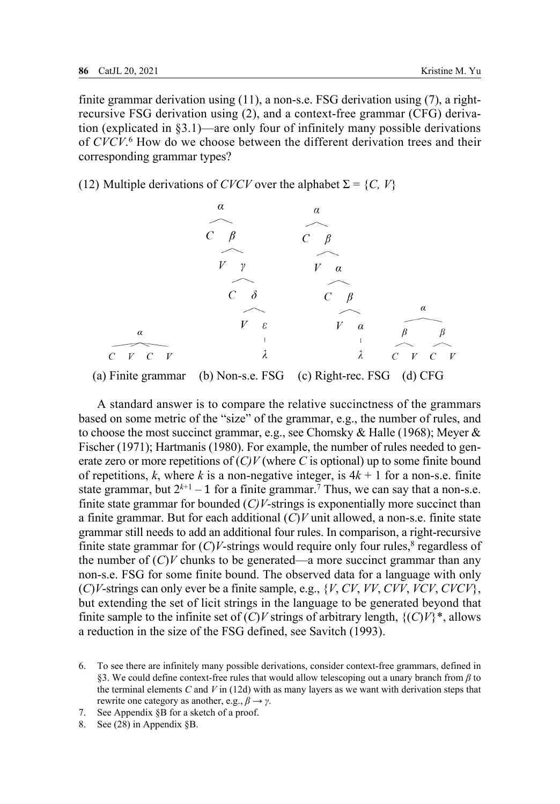finite grammar derivation using (11), a non-s.e. FSG derivation using (7), a rightrecursive FSG derivation using (2), and a context-free grammar (CFG) derivation (explicated in  $\S 3.1$ )—are only four of infinitely many possible derivations of *CVCV*.<sup>6</sup> How do we choose between the different derivation trees and their corresponding grammar types?

(12) Multiple derivations of *CVCV* over the alphabet  $\Sigma = \{C, V\}$ 



(a) Finite grammar (b) Non-s.e. FSG (c) Right-rec. FSG (d) CFG

A standard answer is to compare the relative succinctness of the grammars based on some metric of the "size" of the grammar, e.g., the number of rules, and to choose the most succinct grammar, e.g., see Chomsky & Halle (1968); Meyer & Fischer (1971); Hartmanis (1980). For example, the number of rules needed to generate zero or more repetitions of (*C)V* (where *C* is optional) up to some finite bound of repetitions, k, where k is a non-negative integer, is  $4k + 1$  for a non-s.e. finite state grammar, but  $2^{k+1} - 1$  for a finite grammar.<sup>7</sup> Thus, we can say that a non-s.e. finite state grammar for bounded  $(C/V\text{-strings}$  is exponentially more succinct than a finite grammar. But for each additional (*C*)*V* unit allowed, a non-s.e. finite state grammar still needs to add an additional four rules. In comparison, a right-recursive finite state grammar for  $(C)V$ -strings would require only four rules,<sup>8</sup> regardless of the number of  $(C)V$  chunks to be generated—a more succinct grammar than any non-s.e. FSG for some finite bound. The observed data for a language with only (*C*)*V*-strings can only ever be a finite sample, e.g., {*V*, *CV*, *VV*, *CVV*, *VCV*, *CVCV*}, but extending the set of licit strings in the language to be generated beyond that finite sample to the infinite set of  $(C)V$  strings of arbitrary length,  $\{(C)V\}^*$ , allows a reduction in the size of the FSG defined, see Savitch (1993).

<sup>6.</sup> To see there are infinitely many possible derivations, consider context-free grammars, defined in §3. We could define context-free rules that would allow telescoping out a unary branch from *β* to the terminal elements *C* and *V* in (12d) with as many layers as we want with derivation steps that rewrite one category as another, e.g., *β → γ*.

<sup>7.</sup> See Appendix §B for a sketch of a proof.

<sup>8.</sup> See (28) in Appendix §B.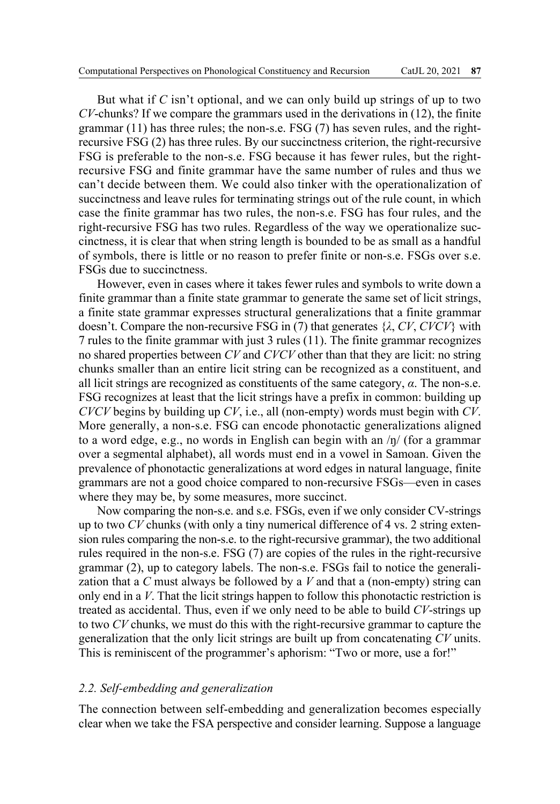But what if *C* isn't optional, and we can only build up strings of up to two *CV*-chunks? If we compare the grammars used in the derivations in (12), the finite grammar  $(11)$  has three rules; the non-s.e. FSG  $(7)$  has seven rules, and the rightrecursive FSG (2) has three rules. By our succinctness criterion, the right-recursive FSG is preferable to the non-s.e. FSG because it has fewer rules, but the rightrecursive FSG and finite grammar have the same number of rules and thus we can't decide between them. We could also tinker with the operationalization of succinctness and leave rules for terminating strings out of the rule count, in which case the finite grammar has two rules, the non-s.e. FSG has four rules, and the right-recursive FSG has two rules. Regardless of the way we operationalize succinctness, it is clear that when string length is bounded to be as small as a handful of symbols, there is little or no reason to prefer finite or non-s.e. FSGs over s.e. FSGs due to succinctness.

However, even in cases where it takes fewer rules and symbols to write down a finite grammar than a finite state grammar to generate the same set of licit strings, a finite state grammar expresses structural generalizations that a finite grammar doesn't. Compare the non-recursive FSG in (7) that generates {*λ*, *CV*, *CVCV*} with 7 rules to the finite grammar with just 3 rules (11). The finite grammar recognizes no shared properties between *CV* and *CVCV* other than that they are licit: no string chunks smaller than an entire licit string can be recognized as a constituent, and all licit strings are recognized as constituents of the same category, *α*. The non-s.e. FSG recognizes at least that the licit strings have a prefix in common: building up *CVCV* begins by building up *CV*, i.e., all (non-empty) words must begin with *CV*. More generally, a non-s.e. FSG can encode phonotactic generalizations aligned to a word edge, e.g., no words in English can begin with an /ŋ/ (for a grammar over a segmental alphabet), all words must end in a vowel in Samoan. Given the prevalence of phonotactic generalizations at word edges in natural language, finite grammars are not a good choice compared to non-recursive FSGs—even in cases where they may be, by some measures, more succinct.

Now comparing the non-s.e. and s.e. FSGs, even if we only consider CV-strings up to two *CV* chunks (with only a tiny numerical difference of 4 vs. 2 string extension rules comparing the non-s.e. to the right-recursive grammar), the two additional rules required in the non-s.e. FSG (7) are copies of the rules in the right-recursive grammar (2), up to category labels. The non-s.e. FSGs fail to notice the generalization that a *C* must always be followed by a *V* and that a (non-empty) string can only end in a *V*. That the licit strings happen to follow this phonotactic restriction is treated as accidental. Thus, even if we only need to be able to build *CV*-strings up to two *CV* chunks, we must do this with the right-recursive grammar to capture the generalization that the only licit strings are built up from concatenating *CV* units. This is reminiscent of the programmer's aphorism: "Two or more, use a for!"

#### *2.2. Self-embedding and generalization*

The connection between self-embedding and generalization becomes especially clear when we take the FSA perspective and consider learning. Suppose a language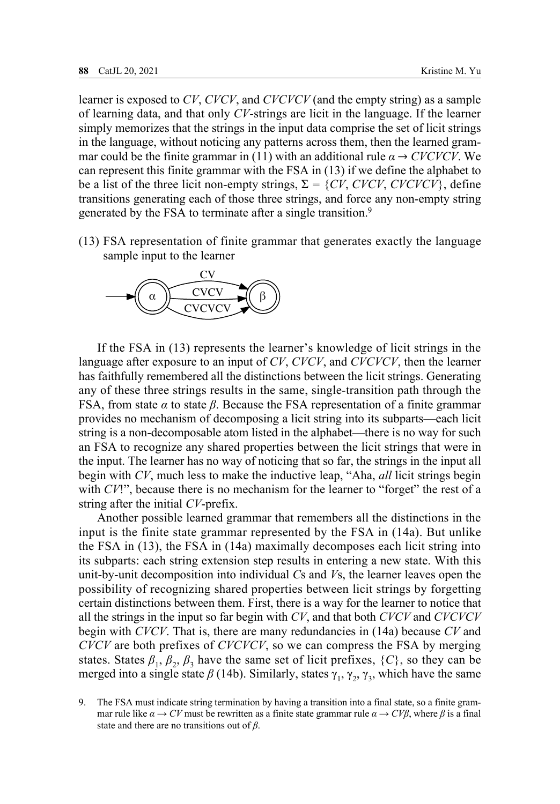learner is exposed to *CV*, *CVCV*, and *CVCVCV* (and the empty string) as a sample of learning data, and that only *CV*-strings are licit in the language. If the learner simply memorizes that the strings in the input data comprise the set of licit strings in the language, without noticing any patterns across them, then the learned grammar could be the finite grammar in (11) with an additional rule  $\alpha \rightarrow CVCVCV$ . We can represent this finite grammar with the FSA in (13) if we define the alphabet to be a list of the three licit non-empty strings,  $\Sigma = \{CV, CVCV, CVCVCV\}$ , define transitions generating each of those three strings, and force any non-empty string generated by the FSA to terminate after a single transition.<sup>9</sup>

(13) FSA representation of finite grammar that generates exactly the language sample input to the learner



If the FSA in (13) represents the learner's knowledge of licit strings in the language after exposure to an input of *CV*, *CVCV*, and *CVCVCV*, then the learner has faithfully remembered all the distinctions between the licit strings. Generating any of these three strings results in the same, single-transition path through the FSA, from state *α* to state *β*. Because the FSA representation of a finite grammar provides no mechanism of decomposing a licit string into its subparts—each licit string is a non-decomposable atom listed in the alphabet—there is no way for such an FSA to recognize any shared properties between the licit strings that were in the input. The learner has no way of noticing that so far, the strings in the input all begin with *CV*, much less to make the inductive leap, "Aha, *all* licit strings begin with  $CV$ !", because there is no mechanism for the learner to "forget" the rest of a string after the initial *CV*-prefix.

Another possible learned grammar that remembers all the distinctions in the input is the finite state grammar represented by the FSA in (14a). But unlike the FSA in (13), the FSA in (14a) maximally decomposes each licit string into its subparts: each string extension step results in entering a new state. With this unit-by-unit decomposition into individual *C*s and *V*s, the learner leaves open the possibility of recognizing shared properties between licit strings by forgetting certain distinctions between them. First, there is a way for the learner to notice that all the strings in the input so far begin with *CV*, and that both *CVCV* and *CVCVCV* begin with *CVCV*. That is, there are many redundancies in (14a) because *CV* and *CVCV* are both prefixes of *CVCVCV*, so we can compress the FSA by merging states. States  $\beta_1$ ,  $\beta_2$ ,  $\beta_3$  have the same set of licit prefixes,  $\{C\}$ , so they can be merged into a single state  $\beta$  (14b). Similarly, states  $\gamma_1$ ,  $\gamma_2$ ,  $\gamma_3$ , which have the same

9. The FSA must indicate string termination by having a transition into a final state, so a finite grammar rule like  $\alpha \rightarrow CV$  must be rewritten as a finite state grammar rule  $\alpha \rightarrow CV\beta$ , where  $\beta$  is a final state and there are no transitions out of *β*.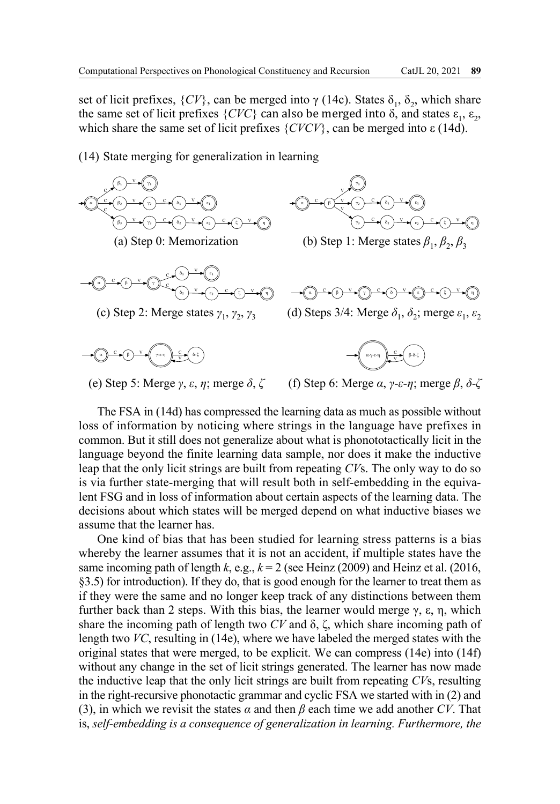set of licit prefixes,  $\{CV\}$ , can be merged into  $\gamma$  (14c). States  $\delta_1$ ,  $\delta_2$ , which share the same set of licit prefixes  $\{CVC\}$  can also be merged into δ, and states  $ε_1, ε_2$ , which share the same set of licit prefixes  $\{CVCV\}$ , can be merged into  $\varepsilon$  (14d).

(14) State merging for generalization in learning



The FSA in (14d) has compressed the learning data as much as possible without loss of information by noticing where strings in the language have prefixes in common. But it still does not generalize about what is phonototactically licit in the language beyond the finite learning data sample, nor does it make the inductive leap that the only licit strings are built from repeating *CV*s. The only way to do so is via further state-merging that will result both in self-embedding in the equivalent FSG and in loss of information about certain aspects of the learning data. The decisions about which states will be merged depend on what inductive biases we assume that the learner has.

One kind of bias that has been studied for learning stress patterns is a bias whereby the learner assumes that it is not an accident, if multiple states have the same incoming path of length  $k$ , e.g.,  $k = 2$  (see Heinz (2009) and Heinz et al. (2016, §3.5) for introduction). If they do, that is good enough for the learner to treat them as if they were the same and no longer keep track of any distinctions between them further back than 2 steps. With this bias, the learner would merge  $\gamma$ ,  $\varepsilon$ ,  $\eta$ , which share the incoming path of length two *CV* and δ, ζ, which share incoming path of length two *VC*, resulting in (14e), where we have labeled the merged states with the original states that were merged, to be explicit. We can compress (14e) into (14f) without any change in the set of licit strings generated. The learner has now made the inductive leap that the only licit strings are built from repeating *CV*s, resulting in the right-recursive phonotactic grammar and cyclic FSA we started with in (2) and (3), in which we revisit the states  $\alpha$  and then  $\beta$  each time we add another *CV*. That is, *self-embedding is a consequence of generalization in learning. Furthermore, the*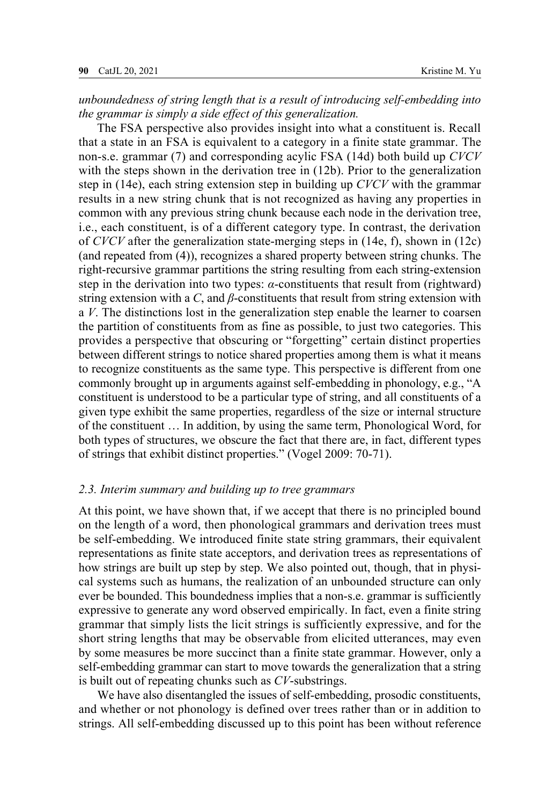*unboundedness of string length that is a result of introducing self-embedding into the grammar is simply a side effect of this generalization.*

The FSA perspective also provides insight into what a constituent is. Recall that a state in an FSA is equivalent to a category in a finite state grammar. The non-s.e. grammar (7) and corresponding acylic FSA (14d) both build up *CVCV*  with the steps shown in the derivation tree in (12b). Prior to the generalization step in (14e), each string extension step in building up *CVCV* with the grammar results in a new string chunk that is not recognized as having any properties in common with any previous string chunk because each node in the derivation tree, i.e., each constituent, is of a different category type. In contrast, the derivation of *CVCV* after the generalization state-merging steps in (14e, f), shown in (12c) (and repeated from (4)), recognizes a shared property between string chunks. The right-recursive grammar partitions the string resulting from each string-extension step in the derivation into two types: *α*-constituents that result from (rightward) string extension with a *C*, and *β*-constituents that result from string extension with a *V*. The distinctions lost in the generalization step enable the learner to coarsen the partition of constituents from as fine as possible, to just two categories. This provides a perspective that obscuring or "forgetting" certain distinct properties between different strings to notice shared properties among them is what it means to recognize constituents as the same type. This perspective is different from one commonly brought up in arguments against self-embedding in phonology, e.g., "A constituent is understood to be a particular type of string, and all constituents of a given type exhibit the same properties, regardless of the size or internal structure of the constituent … In addition, by using the same term, Phonological Word, for both types of structures, we obscure the fact that there are, in fact, different types of strings that exhibit distinct properties." (Vogel 2009: 70-71).

#### *2.3. Interim summary and building up to tree grammars*

At this point, we have shown that, if we accept that there is no principled bound on the length of a word, then phonological grammars and derivation trees must be self-embedding. We introduced finite state string grammars, their equivalent representations as finite state acceptors, and derivation trees as representations of how strings are built up step by step. We also pointed out, though, that in physical systems such as humans, the realization of an unbounded structure can only ever be bounded. This boundedness implies that a non-s.e. grammar is sufficiently expressive to generate any word observed empirically. In fact, even a finite string grammar that simply lists the licit strings is sufficiently expressive, and for the short string lengths that may be observable from elicited utterances, may even by some measures be more succinct than a finite state grammar. However, only a self-embedding grammar can start to move towards the generalization that a string is built out of repeating chunks such as *CV*-substrings.

We have also disentangled the issues of self-embedding, prosodic constituents, and whether or not phonology is defined over trees rather than or in addition to strings. All self-embedding discussed up to this point has been without reference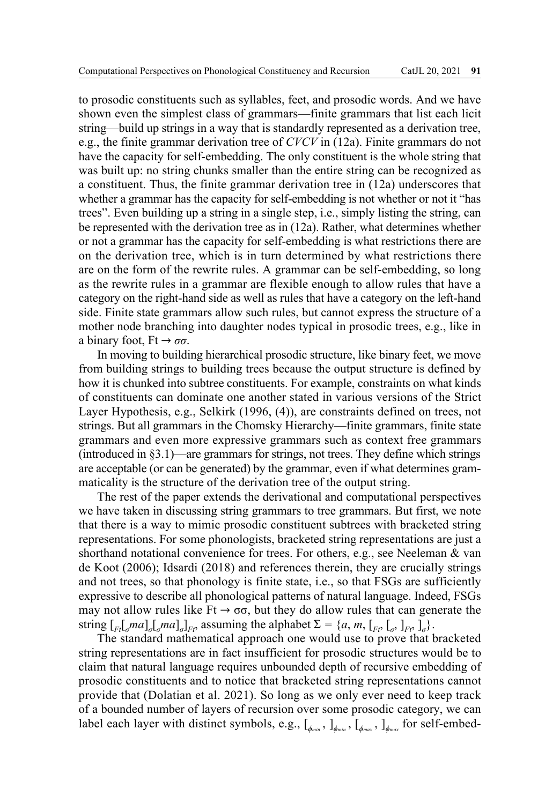to prosodic constituents such as syllables, feet, and prosodic words. And we have shown even the simplest class of grammars—finite grammars that list each licit string—build up strings in a way that is standardly represented as a derivation tree, e.g., the finite grammar derivation tree of *CVCV* in (12a). Finite grammars do not have the capacity for self-embedding. The only constituent is the whole string that was built up: no string chunks smaller than the entire string can be recognized as a constituent. Thus, the finite grammar derivation tree in (12a) underscores that whether a grammar has the capacity for self-embedding is not whether or not it "has trees". Even building up a string in a single step, i.e., simply listing the string, can be represented with the derivation tree as in (12a). Rather, what determines whether or not a grammar has the capacity for self-embedding is what restrictions there are on the derivation tree, which is in turn determined by what restrictions there are on the form of the rewrite rules. A grammar can be self-embedding, so long as the rewrite rules in a grammar are flexible enough to allow rules that have a category on the right-hand side as well as rules that have a category on the left-hand side. Finite state grammars allow such rules, but cannot express the structure of a mother node branching into daughter nodes typical in prosodic trees, e.g., like in a binary foot,  $Ft \rightarrow \sigma\sigma$ .

In moving to building hierarchical prosodic structure, like binary feet, we move from building strings to building trees because the output structure is defined by how it is chunked into subtree constituents. For example, constraints on what kinds of constituents can dominate one another stated in various versions of the Strict Layer Hypothesis, e.g., Selkirk (1996, (4)), are constraints defined on trees, not strings. But all grammars in the Chomsky Hierarchy—finite grammars, finite state grammars and even more expressive grammars such as context free grammars  $(introduced in §3.1)$ —are grammars for strings, not trees. They define which strings are acceptable (or can be generated) by the grammar, even if what determines grammaticality is the structure of the derivation tree of the output string.

The rest of the paper extends the derivational and computational perspectives we have taken in discussing string grammars to tree grammars. But first, we note that there is a way to mimic prosodic constituent subtrees with bracketed string representations. For some phonologists, bracketed string representations are just a shorthand notational convenience for trees. For others, e.g., see Neeleman & van de Koot (2006); Idsardi (2018) and references therein, they are crucially strings and not trees, so that phonology is finite state, i.e., so that FSGs are sufficiently expressive to describe all phonological patterns of natural language. Indeed, FSGs may not allow rules like  $Ft \rightarrow \sigma\sigma$ , but they do allow rules that can generate the string  $\left[\begin{bmatrix}F_t\\end{bmatrix}_q ma\right]_q\left[\begin{bmatrix}ma\\end{bmatrix}_q\right]_F$ , assuming the alphabet  $\Sigma = \{a, m, \left[\begin{bmatrix}F_t\\end{bmatrix}_q, \left[\begin{bmatrix}G_t\\end{bmatrix}_r\right]_g\}$ .

The standard mathematical approach one would use to prove that bracketed string representations are in fact insufficient for prosodic structures would be to claim that natural language requires unbounded depth of recursive embedding of prosodic constituents and to notice that bracketed string representations cannot provide that (Dolatian et al. 2021). So long as we only ever need to keep track of a bounded number of layers of recursion over some prosodic category, we can label each layer with distinct symbols, e.g.,  $[\phi_{m}$ <sub>*⊾j*</sub> $[\phi_{m}$ <sub>*n*</sub> $[\phi_{m}$ </sup>*z*<sub>*j*</sub> $[\phi_{m}$ <sub>*x*</sub></sub> $[\phi_{m}$ <sup>*x*</sup><sub>*s*</sub><sup>*n*</sup><sub>*d*<sup>*m<sub>ax</sub>*</sup></sub>*x*<sub>*n*</sub><sup>*n*</sup><sub>*d*<sup>*m<sub>ax</sub>*</sup></sub>*x*<sub>*n*</sub><sup>*n*</sup><sub>*a*</sub>*n*<sub>*x*</sub><sub>*n*</sub><sup>*n*</sup><sub>*a*</sub>*n*<sub>*x*</sub><sub>*n*</sub><sup>*</sup>*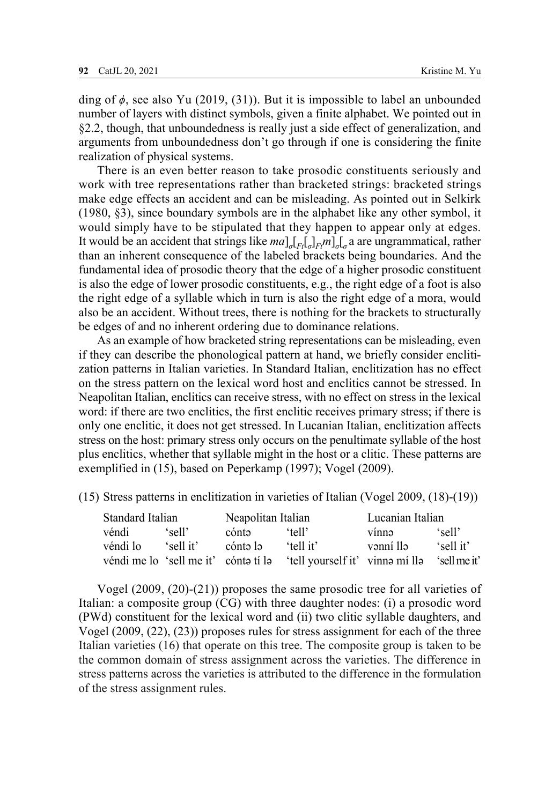ding of *ϕ*, see also Yu (2019, (31)). But it is impossible to label an unbounded number of layers with distinct symbols, given a finite alphabet. We pointed out in §2.2, though, that unboundedness is really just a side effect of generalization, and arguments from unboundedness don't go through if one is considering the finite realization of physical systems.

There is an even better reason to take prosodic constituents seriously and work with tree representations rather than bracketed strings: bracketed strings make edge effects an accident and can be misleading. As pointed out in Selkirk (1980, §3), since boundary symbols are in the alphabet like any other symbol, it would simply have to be stipulated that they happen to appear only at edges. It would be an accident that strings like *ma*]*σ*[*Ft*[*σ*]*Ftm*]*σ*[*<sup>σ</sup>* a are ungrammatical, rather than an inherent consequence of the labeled brackets being boundaries. And the fundamental idea of prosodic theory that the edge of a higher prosodic constituent is also the edge of lower prosodic constituents, e.g., the right edge of a foot is also the right edge of a syllable which in turn is also the right edge of a mora, would also be an accident. Without trees, there is nothing for the brackets to structurally be edges of and no inherent ordering due to dominance relations.

As an example of how bracketed string representations can be misleading, even if they can describe the phonological pattern at hand, we briefly consider enclitization patterns in Italian varieties. In Standard Italian, enclitization has no effect on the stress pattern on the lexical word host and enclitics cannot be stressed. In Neapolitan Italian, enclitics can receive stress, with no effect on stress in the lexical word: if there are two enclitics, the first enclitic receives primary stress; if there is only one enclitic, it does not get stressed. In Lucanian Italian, enclitization affects stress on the host: primary stress only occurs on the penultimate syllable of the host plus enclitics, whether that syllable might in the host or a clitic. These patterns are exemplified in (15), based on Peperkamp (1997); Vogel (2009).

(15) Stress patterns in enclitization in varieties of Italian (Vogel 2009, (18)-(19))

| Standard Italian                     |           | Neapolitan Italian |                                | Lucanian Italian |              |
|--------------------------------------|-----------|--------------------|--------------------------------|------------------|--------------|
| véndi                                | 'sell'    | cónta              | 'tell'                         | vínnə            | 'sell'       |
| véndi lo                             | 'sell it' | cónta la           | 'tell it'                      | vənni llə        | 'sell it'    |
| véndi me lo 'sell me it' cónta tí la |           |                    | tell yourself it' vinne mi lle |                  | 'sell me it' |

Vogel (2009, (20)-(21)) proposes the same prosodic tree for all varieties of Italian: a composite group (CG) with three daughter nodes: (i) a prosodic word (PWd) constituent for the lexical word and (ii) two clitic syllable daughters, and Vogel (2009, (22), (23)) proposes rules for stress assignment for each of the three Italian varieties (16) that operate on this tree. The composite group is taken to be the common domain of stress assignment across the varieties. The difference in stress patterns across the varieties is attributed to the difference in the formulation of the stress assignment rules.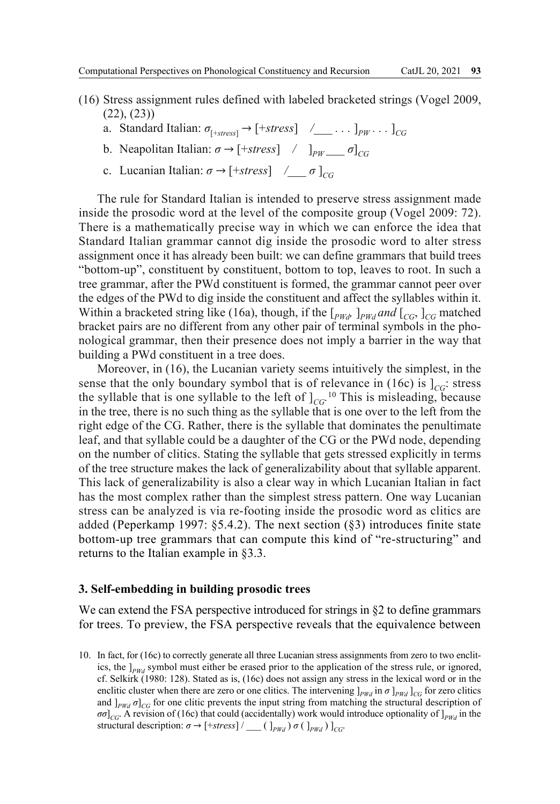- (16) Stress assignment rules defined with labeled bracketed strings (Vogel 2009, (22), (23))
	- a. Standard Italian:  $\sigma_{[+stress]} \rightarrow [+stress]$  /\_\_\_\_... ]<sub>*PW*</sub>... ]<sub>*CG*</sub>
	- **b**. Neapolitan Italian:  $\sigma \rightarrow$  [+*stress*] */*  $\left| \begin{array}{cc} p_W & \sigma \end{array} \right|_{CG}$
	- c. Lucanian Italian:  $\sigma \rightarrow$  [+*stress*]  $\angle \sigma$  ]<sub>CG</sub>

The rule for Standard Italian is intended to preserve stress assignment made inside the prosodic word at the level of the composite group (Vogel 2009: 72). There is a mathematically precise way in which we can enforce the idea that Standard Italian grammar cannot dig inside the prosodic word to alter stress assignment once it has already been built: we can define grammars that build trees "bottom-up", constituent by constituent, bottom to top, leaves to root. In such a tree grammar, after the PWd constituent is formed, the grammar cannot peer over the edges of the PWd to dig inside the constituent and affect the syllables within it. Within a bracketed string like (16a), though, if the  $\left[$ *PWd*  $\right]$ <sup>*PWd</sub> and*  $\left[$ *CG*,  $\right]$ *CG* matched</sup> bracket pairs are no different from any other pair of terminal symbols in the phonological grammar, then their presence does not imply a barrier in the way that building a PWd constituent in a tree does.

Moreover, in (16), the Lucanian variety seems intuitively the simplest, in the sense that the only boundary symbol that is of relevance in (16c) is  $|_{CG}$ : stress the syllable that is one syllable to the left of  $\int_{CG}$ <sup>10</sup> This is misleading, because in the tree, there is no such thing as the syllable that is one over to the left from the right edge of the CG. Rather, there is the syllable that dominates the penultimate leaf, and that syllable could be a daughter of the CG or the PWd node, depending on the number of clitics. Stating the syllable that gets stressed explicitly in terms of the tree structure makes the lack of generalizability about that syllable apparent. This lack of generalizability is also a clear way in which Lucanian Italian in fact has the most complex rather than the simplest stress pattern. One way Lucanian stress can be analyzed is via re-footing inside the prosodic word as clitics are added (Peperkamp 1997: §5.4.2). The next section (§3) introduces finite state bottom-up tree grammars that can compute this kind of "re-structuring" and returns to the Italian example in §3.3.

#### **3. Self-embedding in building prosodic trees**

We can extend the FSA perspective introduced for strings in §2 to define grammars for trees. To preview, the FSA perspective reveals that the equivalence between

10. In fact, for (16c) to correctly generate all three Lucanian stress assignments from zero to two enclitics, the  $\vert_{\text{PWA}}$  symbol must either be erased prior to the application of the stress rule, or ignored, cf. Selkirk (1980: 128). Stated as is, (16c) does not assign any stress in the lexical word or in the enclitic cluster when there are zero or one clitics. The intervening  $J_{PWd}$  in  $\sigma J_{PWd}$  ]<sub>*CG*</sub> for zero clitics and  $J_{PWd}$   $\sigma$  $C_G$  for one clitic prevents the input string from matching the structural description of  $\sigma\sigma$ <sub>*CG*</sub>. A revision of (16c) that could (accidentally) work would introduce optionality of  $]_{PWA}$  in the structural description:  $\sigma \rightarrow$  [+*stress*] / \_\_\_ ( ]<sub>*PWd</sub>* )  $\sigma$  ( ]<sub>*PWd</sub>* ) ]<sub>*CG*</sub>.</sub></sub>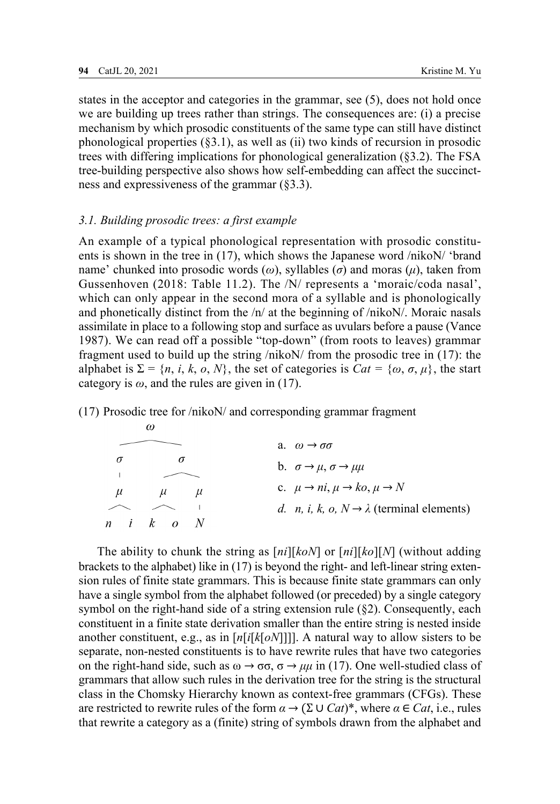states in the acceptor and categories in the grammar, see (5), does not hold once we are building up trees rather than strings. The consequences are: (i) a precise mechanism by which prosodic constituents of the same type can still have distinct phonological properties (§3.1), as well as (ii) two kinds of recursion in prosodic trees with differing implications for phonological generalization (§3.2). The FSA tree-building perspective also shows how self-embedding can affect the succinctness and expressiveness of the grammar (§3.3).

## *3.1. Building prosodic trees: a first example*

 $\omega$ 

An example of a typical phonological representation with prosodic constituents is shown in the tree in (17), which shows the Japanese word /nikoN/ 'brand name' chunked into prosodic words (*ω*), syllables (*σ*) and moras (*μ*), taken from Gussenhoven (2018: Table 11.2). The /N/ represents a 'moraic/coda nasal', which can only appear in the second mora of a syllable and is phonologically and phonetically distinct from the /n/ at the beginning of /nikoN/. Moraic nasals assimilate in place to a following stop and surface as uvulars before a pause (Vance 1987). We can read off a possible "top-down" (from roots to leaves) grammar fragment used to build up the string /nikoN/ from the prosodic tree in (17): the alphabet is  $\Sigma = \{n, i, k, o, N\}$ , the set of categories is  $Cat = \{\omega, \sigma, \mu\}$ , the start category is  $\omega$ , and the rules are given in (17).

(17) Prosodic tree for /nikoN/ and corresponding grammar fragment

|          | $\sim$                              |                                                                      |
|----------|-------------------------------------|----------------------------------------------------------------------|
|          |                                     | a. $\omega \rightarrow \sigma \sigma$                                |
| $\sigma$ |                                     | b. $\sigma \rightarrow \mu$ , $\sigma \rightarrow \mu\mu$            |
| $\mu$    | $\mu$<br>$\mu$                      | c. $\mu \rightarrow ni$ , $\mu \rightarrow ko$ , $\mu \rightarrow N$ |
|          |                                     | <i>d. n, i, k, o, N</i> $\rightarrow \lambda$ (terminal elements)    |
|          | $n \quad i \quad k \quad o \quad N$ |                                                                      |

The ability to chunk the string as [*ni*][*koN*] or [*ni*][*ko*][*N*] (without adding brackets to the alphabet) like in (17) is beyond the right- and left-linear string extension rules of finite state grammars. This is because finite state grammars can only have a single symbol from the alphabet followed (or preceded) by a single category symbol on the right-hand side of a string extension rule  $(\& 2)$ . Consequently, each constituent in a finite state derivation smaller than the entire string is nested inside another constituent, e.g., as in [*n*[*i*[*k*[*oN*]]]]. A natural way to allow sisters to be separate, non-nested constituents is to have rewrite rules that have two categories on the right-hand side, such as  $\omega \to \sigma \sigma$ ,  $\sigma \to \mu \mu$  in (17). One well-studied class of grammars that allow such rules in the derivation tree for the string is the structural class in the Chomsky Hierarchy known as context-free grammars (CFGs). These are restricted to rewrite rules of the form *α* → (Σ ∪ *Cat*)\*, where *α* ∈ *Cat*, i.e., rules that rewrite a category as a (finite) string of symbols drawn from the alphabet and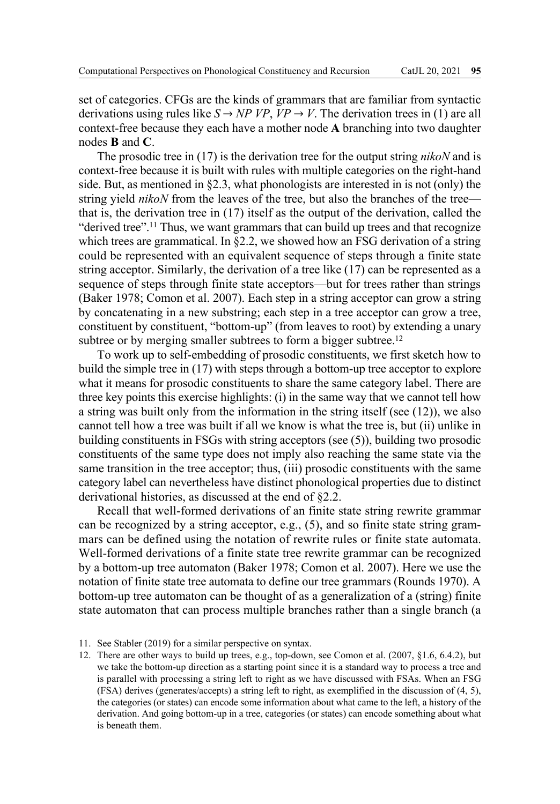set of categories. CFGs are the kinds of grammars that are familiar from syntactic derivations using rules like  $S \rightarrow NP VP$ ,  $VP \rightarrow V$ . The derivation trees in (1) are all context-free because they each have a mother node **A** branching into two daughter nodes **B** and **C**.

The prosodic tree in (17) is the derivation tree for the output string *nikoN* and is context-free because it is built with rules with multiple categories on the right-hand side. But, as mentioned in §2.3, what phonologists are interested in is not (only) the string yield *nikoN* from the leaves of the tree, but also the branches of the tree that is, the derivation tree in (17) itself as the output of the derivation, called the "derived tree".<sup>11</sup> Thus, we want grammars that can build up trees and that recognize which trees are grammatical. In §2.2, we showed how an FSG derivation of a string could be represented with an equivalent sequence of steps through a finite state string acceptor. Similarly, the derivation of a tree like (17) can be represented as a sequence of steps through finite state acceptors—but for trees rather than strings (Baker 1978; Comon et al. 2007). Each step in a string acceptor can grow a string by concatenating in a new substring; each step in a tree acceptor can grow a tree, constituent by constituent, "bottom-up" (from leaves to root) by extending a unary subtree or by merging smaller subtrees to form a bigger subtree.<sup>12</sup>

To work up to self-embedding of prosodic constituents, we first sketch how to build the simple tree in (17) with steps through a bottom-up tree acceptor to explore what it means for prosodic constituents to share the same category label. There are three key points this exercise highlights: (i) in the same way that we cannot tell how a string was built only from the information in the string itself (see (12)), we also cannot tell how a tree was built if all we know is what the tree is, but (ii) unlike in building constituents in FSGs with string acceptors (see (5)), building two prosodic constituents of the same type does not imply also reaching the same state via the same transition in the tree acceptor; thus, (iii) prosodic constituents with the same category label can nevertheless have distinct phonological properties due to distinct derivational histories, as discussed at the end of §2.2.

Recall that well-formed derivations of an finite state string rewrite grammar can be recognized by a string acceptor, e.g., (5), and so finite state string grammars can be defined using the notation of rewrite rules or finite state automata. Well-formed derivations of a finite state tree rewrite grammar can be recognized by a bottom-up tree automaton (Baker 1978; Comon et al. 2007). Here we use the notation of finite state tree automata to define our tree grammars (Rounds 1970). A bottom-up tree automaton can be thought of as a generalization of a (string) finite state automaton that can process multiple branches rather than a single branch (a

<sup>11.</sup> See Stabler (2019) for a similar perspective on syntax.

<sup>12.</sup> There are other ways to build up trees, e.g., top-down, see Comon et al. (2007, §1.6, 6.4.2), but we take the bottom-up direction as a starting point since it is a standard way to process a tree and is parallel with processing a string left to right as we have discussed with FSAs. When an FSG (FSA) derives (generates/accepts) a string left to right, as exemplified in the discussion of (4, 5), the categories (or states) can encode some information about what came to the left, a history of the derivation. And going bottom-up in a tree, categories (or states) can encode something about what is beneath them.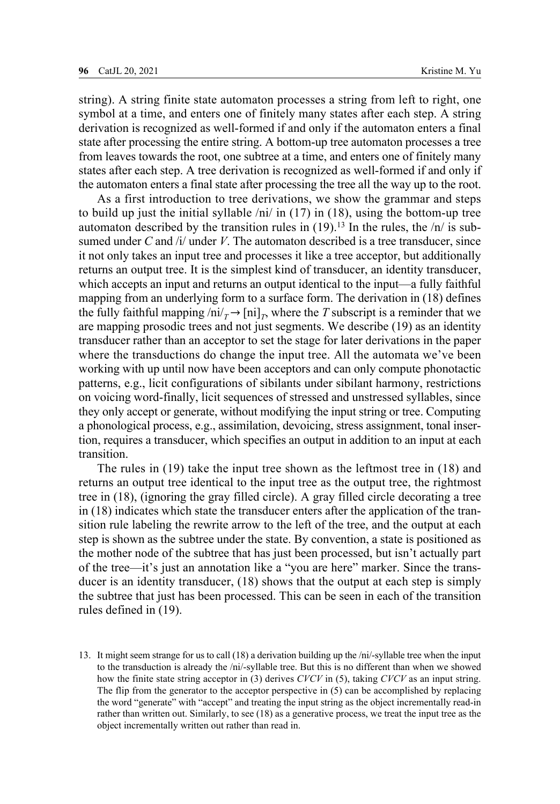string). A string finite state automaton processes a string from left to right, one symbol at a time, and enters one of finitely many states after each step. A string derivation is recognized as well-formed if and only if the automaton enters a final state after processing the entire string. A bottom-up tree automaton processes a tree from leaves towards the root, one subtree at a time, and enters one of finitely many states after each step. A tree derivation is recognized as well-formed if and only if the automaton enters a final state after processing the tree all the way up to the root.

As a first introduction to tree derivations, we show the grammar and steps to build up just the initial syllable  $\pi$  /ni/ in (17) in (18), using the bottom-up tree automaton described by the transition rules in  $(19)$ .<sup>13</sup> In the rules, the  $/n/$  is subsumed under  $C$  and  $/i$  under  $V$ . The automaton described is a tree transducer, since it not only takes an input tree and processes it like a tree acceptor, but additionally returns an output tree. It is the simplest kind of transducer, an identity transducer, which accepts an input and returns an output identical to the input—a fully faithful mapping from an underlying form to a surface form. The derivation in (18) defines the fully faithful mapping  $\langle ni \rangle_T \rightarrow [ni]_T$ , where the *T* subscript is a reminder that we are mapping prosodic trees and not just segments. We describe (19) as an identity transducer rather than an acceptor to set the stage for later derivations in the paper where the transductions do change the input tree. All the automata we've been working with up until now have been acceptors and can only compute phonotactic patterns, e.g., licit configurations of sibilants under sibilant harmony, restrictions on voicing word-finally, licit sequences of stressed and unstressed syllables, since they only accept or generate, without modifying the input string or tree. Computing a phonological process, e.g., assimilation, devoicing, stress assignment, tonal insertion, requires a transducer, which specifies an output in addition to an input at each transition.

The rules in (19) take the input tree shown as the leftmost tree in (18) and returns an output tree identical to the input tree as the output tree, the rightmost tree in (18), (ignoring the gray filled circle). A gray filled circle decorating a tree in (18) indicates which state the transducer enters after the application of the transition rule labeling the rewrite arrow to the left of the tree, and the output at each step is shown as the subtree under the state. By convention, a state is positioned as the mother node of the subtree that has just been processed, but isn't actually part of the tree—it's just an annotation like a "you are here" marker. Since the transducer is an identity transducer, (18) shows that the output at each step is simply the subtree that just has been processed. This can be seen in each of the transition rules defined in (19).

<sup>13.</sup> It might seem strange for us to call (18) a derivation building up the /ni/-syllable tree when the input to the transduction is already the /ni/-syllable tree. But this is no different than when we showed how the finite state string acceptor in (3) derives *CVCV* in (5), taking *CVCV* as an input string. The flip from the generator to the acceptor perspective in (5) can be accomplished by replacing the word "generate" with "accept" and treating the input string as the object incrementally read-in rather than written out. Similarly, to see (18) as a generative process, we treat the input tree as the object incrementally written out rather than read in.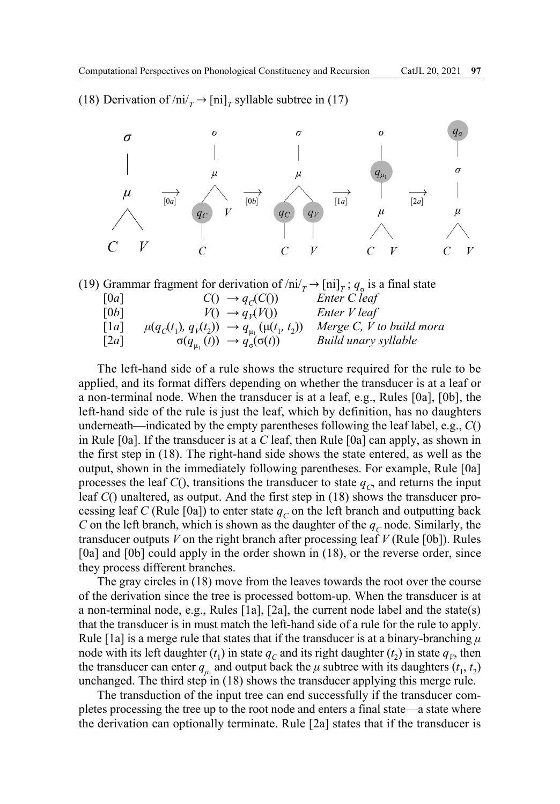(18) Derivation of  $\ln i / T$   $\rightarrow$   $\ln i / T$  syllable subtree in (17)





The left-hand side of a rule shows the structure required for the rule to be applied, and its format differs depending on whether the transducer is at a leaf or a non-terminal node. When the transducer is at a leaf, e.g., Rules [0a], [0b], the left-hand side of the rule is just the leaf, which by definition, has no daughters underneath—indicated by the empty parentheses following the leaf label, e.g., *C*() in Rule [0a]. If the transducer is at a *C* leaf, then Rule [0a] can apply, as shown in the first step in (18). The right-hand side shows the state entered, as well as the output, shown in the immediately following parentheses. For example, Rule [0a] processes the leaf  $C()$ , transitions the transducer to state  $q_c$ , and returns the input leaf *C*() unaltered, as output. And the first step in (18) shows the transducer processing leaf *C* (Rule [0a]) to enter state  $q_c$  on the left branch and outputting back *C* on the left branch, which is shown as the daughter of the  $q_c$  node. Similarly, the transducer outputs *V* on the right branch after processing leaf *V* (Rule [0b]). Rules [0a] and [0b] could apply in the order shown in (18), or the reverse order, since they process different branches.

The gray circles in (18) move from the leaves towards the root over the course of the derivation since the tree is processed bottom-up. When the transducer is at a non-terminal node, e.g., Rules [1a], [2a], the current node label and the state(s) that the transducer is in must match the left-hand side of a rule for the rule to apply. Rule [1a] is a merge rule that states that if the transducer is at a binary-branching *μ* node with its left daughter  $(t_1)$  in state  $q_c$  and its right daughter  $(t_2)$  in state  $q_v$ , then the transducer can enter  $q_{\mu_1}$  and output back the  $\mu$  subtree with its daughters ( $t_1, t_2$ ) unchanged. The third step in (18) shows the transducer applying this merge rule.

The transduction of the input tree can end successfully if the transducer completes processing the tree up to the root node and enters a final state—a state where the derivation can optionally terminate. Rule [2a] states that if the transducer is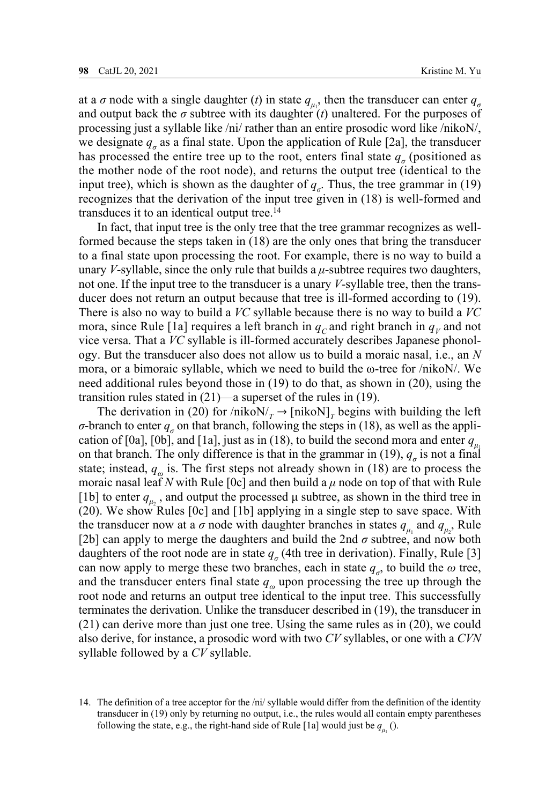at a  $\sigma$  node with a single daughter (*t*) in state  $q_{\mu_1}$ , then the transducer can enter  $q_{\sigma}$ and output back the  $\sigma$  subtree with its daughter  $(t)$  unaltered. For the purposes of processing just a syllable like /ni/ rather than an entire prosodic word like /nikoN/, we designate  $q_a$  as a final state. Upon the application of Rule [2a], the transducer has processed the entire tree up to the root, enters final state  $q<sub>o</sub>$  (positioned as the mother node of the root node), and returns the output tree (identical to the input tree), which is shown as the daughter of  $q_\sigma$ . Thus, the tree grammar in (19) recognizes that the derivation of the input tree given in (18) is well-formed and transduces it to an identical output tree.14

In fact, that input tree is the only tree that the tree grammar recognizes as wellformed because the steps taken in (18) are the only ones that bring the transducer to a final state upon processing the root. For example, there is no way to build a unary *V*-syllable, since the only rule that builds a *μ*-subtree requires two daughters, not one. If the input tree to the transducer is a unary *V*-syllable tree, then the transducer does not return an output because that tree is ill-formed according to (19). There is also no way to build a *VC* syllable because there is no way to build a *VC* mora, since Rule [1a] requires a left branch in  $q_c$  and right branch in  $q_V$  and not vice versa. That a *VC* syllable is ill-formed accurately describes Japanese phonology. But the transducer also does not allow us to build a moraic nasal, i.e., an *N* mora, or a bimoraic syllable, which we need to build the  $\omega$ -tree for /nikoN/. We need additional rules beyond those in (19) to do that, as shown in (20), using the transition rules stated in (21)—a superset of the rules in (19).

The derivation in (20) for /nikoN/ $<sub>T</sub>$   $\rightarrow$  [nikoN]<sub>*T*</sub> begins with building the left</sub> *σ*-branch to enter  $q<sub>g</sub>$  on that branch, following the steps in (18), as well as the application of [0a], [0b], and [1a], just as in (18), to build the second mora and enter  $q_{\mu}$ on that branch. The only difference is that in the grammar in (19),  $q_a$  is not a final state; instead,  $q_\omega$  is. The first steps not already shown in (18) are to process the moraic nasal leaf *N* with Rule [0c] and then build a  $\mu$  node on top of that with Rule [1b] to enter  $q_{\mu_2}$ , and output the processed  $\mu$  subtree, as shown in the third tree in (20). We show Rules [0c] and [1b] applying in a single step to save space. With the transducer now at a  $\sigma$  node with daughter branches in states  $q_{\mu_1}$  and  $q_{\mu_2}$ . Rule [2b] can apply to merge the daughters and build the 2nd  $\sigma$  subtree, and now both daughters of the root node are in state  $q_\sigma$  (4th tree in derivation). Finally, Rule [3] can now apply to merge these two branches, each in state  $q_{\sigma}$ , to build the  $\omega$  tree, and the transducer enters final state *qω* upon processing the tree up through the root node and returns an output tree identical to the input tree. This successfully terminates the derivation. Unlike the transducer described in (19), the transducer in (21) can derive more than just one tree. Using the same rules as in (20), we could also derive, for instance, a prosodic word with two *CV* syllables, or one with a *CVN* syllable followed by a *CV* syllable.

<sup>14.</sup> The definition of a tree acceptor for the /ni/ syllable would differ from the definition of the identity transducer in (19) only by returning no output, i.e., the rules would all contain empty parentheses following the state, e.g., the right-hand side of Rule [1a] would just be  $q_{\mu_1}$  ().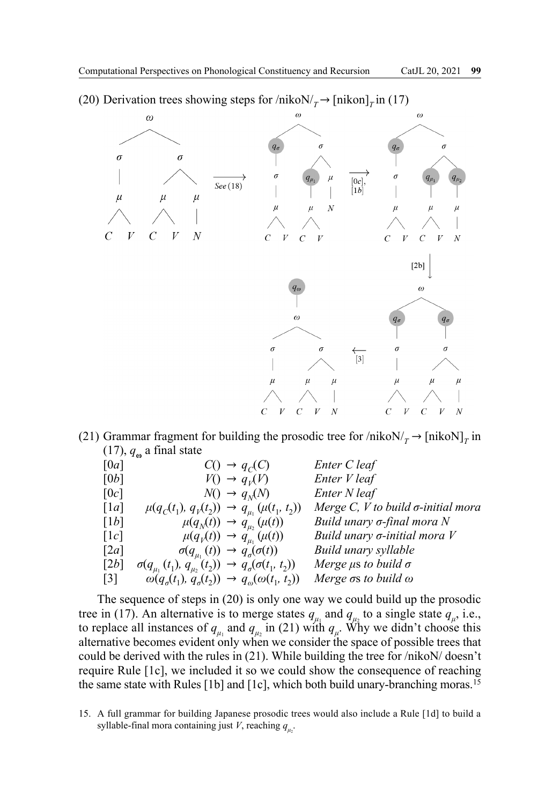(20) Derivation trees showing steps for  $/nikoN/<sub>T</sub> \rightarrow [nikon]<sub>T</sub>$  in (17)



(21) Grammar fragment for building the prosodic tree for  $/nik_0N/T \rightarrow [nik_0N]_T$  in  $(17)$ ,  $q_{\omega}$  a final state

| [0a]               |                                                                                     | $C() \rightarrow q_C(C)$                                 | Enter C leaf                                 |
|--------------------|-------------------------------------------------------------------------------------|----------------------------------------------------------|----------------------------------------------|
| [0b]               |                                                                                     | $V() \rightarrow q_V(V)$                                 | Enter V leaf                                 |
| [0c]               |                                                                                     | $N() \rightarrow q_N(N)$                                 | Enter N leaf                                 |
| $\lceil 1a \rceil$ | $\mu(q_C(t_1), q_V(t_2)) \rightarrow q_{\mu_1}(\mu(t_1, t_2))$                      |                                                          | Merge $C, V$ to build $\sigma$ -initial mora |
| [1b]               |                                                                                     | $\mu(q_N(t)) \rightarrow q_{\mu}(\mu(t))$                | Build unary σ-final mora N                   |
| $\lceil 1c \rceil$ |                                                                                     | $\mu(q_v(t)) \rightarrow q_{u_v}(\mu(t))$                | Build unary $\sigma$ -initial mora $V$       |
| [2a]               |                                                                                     | $\sigma(q_{\mu_1}(t)) \rightarrow q_{\sigma}(\sigma(t))$ | Build unary syllable                         |
| [2b]               | $\sigma(q_{\mu_1}(t_1), q_{\mu_2}(t_2)) \rightarrow q_{\sigma}(\sigma(t_1, t_2))$   |                                                          | Merge $\mu$ s to build $\sigma$              |
| $\lceil 3 \rceil$  | $\omega(q_{\sigma}(t_1), q_{\sigma}(t_2)) \rightarrow q_{\omega}(\omega(t_1, t_2))$ |                                                          | Merge $\sigma s$ to build $\omega$           |

The sequence of steps in (20) is only one way we could build up the prosodic tree in (17). An alternative is to merge states  $q_{\mu_1}$  and  $q_{\mu_2}$  to a single state  $q_{\mu}$ , i.e., to replace all instances of  $q_{\mu_1}$  and  $q_{\mu_2}$  in (21) with  $q_{\mu}$ . Why we didn't choose this alternative becomes evident only when we consider the space of possible trees that could be derived with the rules in (21). While building the tree for /nikoN/ doesn't require Rule [1c], we included it so we could show the consequence of reaching the same state with Rules [1b] and [1c], which both build unary-branching moras.15

15. A full grammar for building Japanese prosodic trees would also include a Rule [1d] to build a syllable-final mora containing just *V*, reaching  $q_{\mu_2}$ .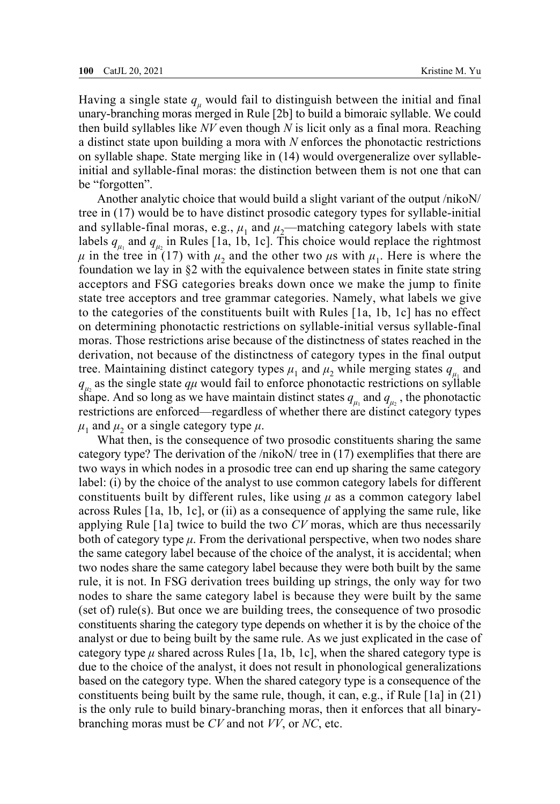Having a single state  $q_\mu$  would fail to distinguish between the initial and final unary-branching moras merged in Rule [2b] to build a bimoraic syllable. We could then build syllables like *NV* even though *N* is licit only as a final mora. Reaching a distinct state upon building a mora with *N* enforces the phonotactic restrictions on syllable shape. State merging like in (14) would overgeneralize over syllableinitial and syllable-final moras: the distinction between them is not one that can be "forgotten".

Another analytic choice that would build a slight variant of the output /nikoN/ tree in (17) would be to have distinct prosodic category types for syllable-initial and syllable-final moras, e.g.,  $\mu_1$  and  $\mu_2$ —matching category labels with state labels  $q_{\mu_1}$  and  $q_{\mu_2}$  in Rules [1a, 1b, 1c]. This choice would replace the rightmost  $\mu$  in the tree in (17) with  $\mu_2$  and the other two  $\mu$ s with  $\mu_1$ . Here is where the foundation we lay in  $\S2$  with the equivalence between states in finite state string acceptors and FSG categories breaks down once we make the jump to finite state tree acceptors and tree grammar categories. Namely, what labels we give to the categories of the constituents built with Rules [1a, 1b, 1c] has no effect on determining phonotactic restrictions on syllable-initial versus syllable-final moras. Those restrictions arise because of the distinctness of states reached in the derivation, not because of the distinctness of category types in the final output tree. Maintaining distinct category types  $\mu_1$  and  $\mu_2$  while merging states  $q_{\mu_1}$  and  $q_{\mu_2}$  as the single state  $q\mu$  would fail to enforce phonotactic restrictions on syllable shape. And so long as we have maintain distinct states  $q_{\mu_1}$  and  $q_{\mu_2}$ , the phonotactic restrictions are enforced—regardless of whether there are distinct category types  $\mu_1$  and  $\mu_2$  or a single category type  $\mu$ .

What then, is the consequence of two prosodic constituents sharing the same category type? The derivation of the /nikoN/ tree in (17) exemplifies that there are two ways in which nodes in a prosodic tree can end up sharing the same category label: (i) by the choice of the analyst to use common category labels for different constituents built by different rules, like using  $\mu$  as a common category label across Rules [1a, 1b, 1c], or (ii) as a consequence of applying the same rule, like applying Rule [1a] twice to build the two *CV* moras, which are thus necessarily both of category type  $\mu$ . From the derivational perspective, when two nodes share the same category label because of the choice of the analyst, it is accidental; when two nodes share the same category label because they were both built by the same rule, it is not. In FSG derivation trees building up strings, the only way for two nodes to share the same category label is because they were built by the same (set of) rule(s). But once we are building trees, the consequence of two prosodic constituents sharing the category type depends on whether it is by the choice of the analyst or due to being built by the same rule. As we just explicated in the case of category type  $\mu$  shared across Rules [1a, 1b, 1c], when the shared category type is due to the choice of the analyst, it does not result in phonological generalizations based on the category type. When the shared category type is a consequence of the constituents being built by the same rule, though, it can, e.g., if Rule [1a] in (21) is the only rule to build binary-branching moras, then it enforces that all binarybranching moras must be *CV* and not *VV*, or *NC*, etc.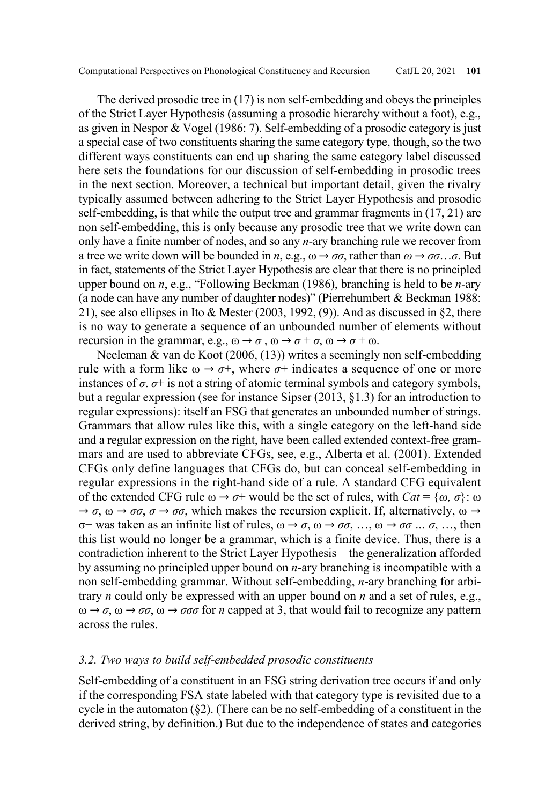The derived prosodic tree in (17) is non self-embedding and obeys the principles of the Strict Layer Hypothesis (assuming a prosodic hierarchy without a foot), e.g., as given in Nespor & Vogel (1986: 7). Self-embedding of a prosodic category is just a special case of two constituents sharing the same category type, though, so the two different ways constituents can end up sharing the same category label discussed here sets the foundations for our discussion of self-embedding in prosodic trees in the next section. Moreover, a technical but important detail, given the rivalry typically assumed between adhering to the Strict Layer Hypothesis and prosodic self-embedding, is that while the output tree and grammar fragments in (17, 21) are non self-embedding, this is only because any prosodic tree that we write down can only have a finite number of nodes, and so any *n*-ary branching rule we recover from a tree we write down will be bounded in *n*, e.g.,  $\omega \rightarrow \sigma \sigma$ , rather than  $\omega \rightarrow \sigma \sigma ... \sigma$ . But in fact, statements of the Strict Layer Hypothesis are clear that there is no principled upper bound on *n*, e.g., "Following Beckman (1986), branching is held to be *n*-ary (a node can have any number of daughter nodes)" (Pierrehumbert & Beckman 1988: 21), see also ellipses in Ito & Mester (2003, 1992, (9)). And as discussed in  $\S$ 2, there is no way to generate a sequence of an unbounded number of elements without recursion in the grammar, e.g.,  $\omega \rightarrow \sigma$ ,  $\omega \rightarrow \sigma^+ \sigma$ ,  $\omega \rightarrow \sigma^+ \omega$ .

Neeleman & van de Koot (2006, (13)) writes a seemingly non self-embedding rule with a form like  $\omega \rightarrow \sigma^+$ , where  $\sigma^+$  indicates a sequence of one or more instances of  $\sigma$ .  $\sigma$ + is not a string of atomic terminal symbols and category symbols, but a regular expression (see for instance Sipser (2013, §1.3) for an introduction to regular expressions): itself an FSG that generates an unbounded number of strings. Grammars that allow rules like this, with a single category on the left-hand side and a regular expression on the right, have been called extended context-free grammars and are used to abbreviate CFGs, see, e.g., Alberta et al. (2001). Extended CFGs only define languages that CFGs do, but can conceal self-embedding in regular expressions in the right-hand side of a rule. A standard CFG equivalent of the extended CFG rule ω → *σ*+ would be the set of rules, with *Cat* = {*ω, σ*}: ω  $\rightarrow \sigma$ ,  $\omega \rightarrow \sigma \sigma$ ,  $\sigma \rightarrow \sigma \sigma$ , which makes the recursion explicit. If, alternatively,  $\omega \rightarrow$ σ+ was taken as an infinite list of rules, ω → *σ*, ω → *σσ*, …, ω → *σσ … σ*, …, then this list would no longer be a grammar, which is a finite device. Thus, there is a contradiction inherent to the Strict Layer Hypothesis—the generalization afforded by assuming no principled upper bound on *n*-ary branching is incompatible with a non self-embedding grammar. Without self-embedding, *n*-ary branching for arbitrary *n* could only be expressed with an upper bound on *n* and a set of rules, e.g.,  $ω → σ, ω → σσ, ω → σσσ for *n* capped at 3, that would fail to recognize any pattern$ across the rules.

## *3.2. Two ways to build self-embedded prosodic constituents*

Self-embedding of a constituent in an FSG string derivation tree occurs if and only if the corresponding FSA state labeled with that category type is revisited due to a cycle in the automaton  $(\S_2)$ . (There can be no self-embedding of a constituent in the derived string, by definition.) But due to the independence of states and categories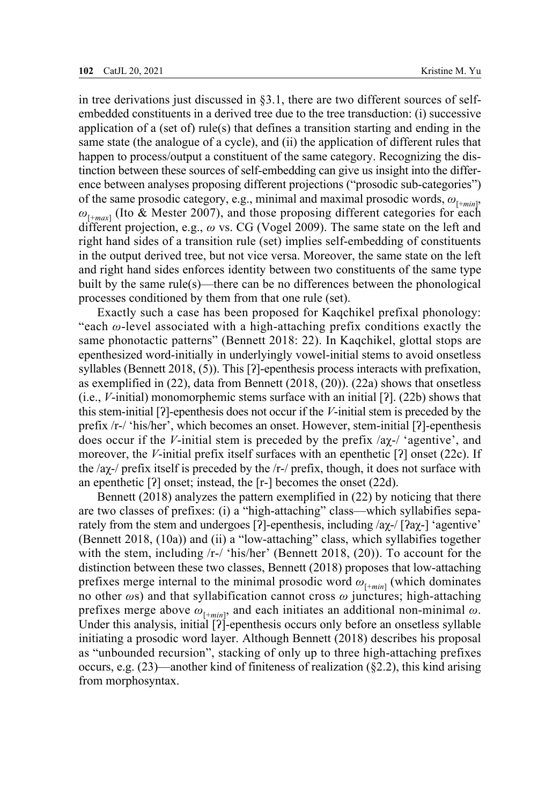in tree derivations just discussed in §3.1, there are two different sources of selfembedded constituents in a derived tree due to the tree transduction: (i) successive application of a (set of) rule(s) that defines a transition starting and ending in the same state (the analogue of a cycle), and (ii) the application of different rules that happen to process/output a constituent of the same category. Recognizing the distinction between these sources of self-embedding can give us insight into the difference between analyses proposing different projections ("prosodic sub-categories") of the same prosodic category, e.g., minimal and maximal prosodic words,  $\omega_{\text{[+min]}}$ , *ω*[+*max*] (Ito & Mester 2007), and those proposing different categories for each different projection, e.g., *ω* vs. CG (Vogel 2009). The same state on the left and right hand sides of a transition rule (set) implies self-embedding of constituents in the output derived tree, but not vice versa. Moreover, the same state on the left and right hand sides enforces identity between two constituents of the same type built by the same rule(s)—there can be no differences between the phonological processes conditioned by them from that one rule (set).

Exactly such a case has been proposed for Kaqchikel prefixal phonology: "each  $\omega$ -level associated with a high-attaching prefix conditions exactly the same phonotactic patterns" (Bennett 2018: 22). In Kaqchikel, glottal stops are epenthesized word-initially in underlyingly vowel-initial stems to avoid onsetless syllables (Bennett 2018, (5)). This [?]-epenthesis process interacts with prefixation, as exemplified in (22), data from Bennett (2018, (20)). (22a) shows that onsetless (i.e., *V*-initial) monomorphemic stems surface with an initial [ʔ]. (22b) shows that this stem-initial [ʔ]-epenthesis does not occur if the *V*-initial stem is preceded by the prefix /r-/ 'his/her', which becomes an onset. However, stem-initial [ʔ]-epenthesis does occur if the *V*-initial stem is preceded by the prefix /aχ-/ 'agentive', and moreover, the *V*-initial prefix itself surfaces with an epenthetic [ʔ] onset (22c). If the /ax-/ prefix itself is preceded by the /r-/ prefix, though, it does not surface with an epenthetic [ʔ] onset; instead, the [r-] becomes the onset (22d).

Bennett (2018) analyzes the pattern exemplified in (22) by noticing that there are two classes of prefixes: (i) a "high-attaching" class—which syllabifies separately from the stem and undergoes [?]-epenthesis, including  $\alpha$ <sub>*x*-</sub> $\beta$ <sub>a</sub> $\gamma$ - $\alpha$ <sup>-</sup> agentive<sup>'</sup> (Bennett 2018, (10a)) and (ii) a "low-attaching" class, which syllabifies together with the stem, including  $/r$ -/ 'his/her' (Bennett 2018, (20)). To account for the distinction between these two classes, Bennett (2018) proposes that low-attaching prefixes merge internal to the minimal prosodic word  $\omega_{[\pm min]}$  (which dominates no other *ω*s) and that syllabification cannot cross *ω* junctures; high-attaching prefixes merge above *ω*[+*min*] , and each initiates an additional non-minimal *ω*. Under this analysis, initial [?]-epenthesis occurs only before an onsetless syllable initiating a prosodic word layer. Although Bennett (2018) describes his proposal as "unbounded recursion", stacking of only up to three high-attaching prefixes occurs, e.g.  $(23)$ —another kind of finiteness of realization (§2.2), this kind arising from morphosyntax.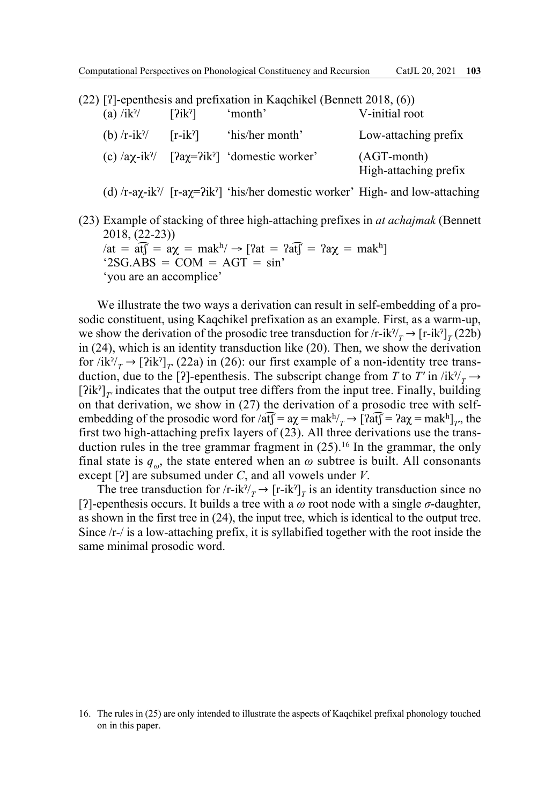| $(22)$ [?]-epenthesis and prefixation in Kaqchikel (Bennett 2018, $(6)$ ) |            |                                                                                                        |                                        |
|---------------------------------------------------------------------------|------------|--------------------------------------------------------------------------------------------------------|----------------------------------------|
| $(a)$ /ik <sup>?</sup> /                                                  | [?ik?]     | 'month'                                                                                                | V-initial root                         |
| (b) $/r - ik$ ?                                                           | $[r-ik^2]$ | 'his/her month'                                                                                        | Low-attaching prefix                   |
|                                                                           |            | (c) $\langle$ a $\chi$ -ik $\rangle$ [ $\langle$ a $\chi$ = $\langle$ ik $\rangle$ ] 'domestic worker' | $(AGT-month)$<br>High-attaching prefix |

(d)  $\langle$ r-a $\chi$ -ik<sup> $\gamma$ </sup> [r-a $\chi$ = $\langle$ ik $\gamma$ ] 'his/her domestic worker' High- and low-attaching

(23) Example of stacking of three high-attaching prefixes in *at achajmak* (Bennett 2018, (22-23))  $\alpha t = \hat{af} = a\gamma = \hat{f}$ 

 $'2SG.ABS = COM = AGT = sin'$ 'you are an accomplice'

We illustrate the two ways a derivation can result in self-embedding of a prosodic constituent, using Kaqchikel prefixation as an example. First, as a warm-up, we show the derivation of the prosodic tree transduction for  $\langle r\text{-}ik^{\gamma}\rangle_{T} \rightarrow [r\text{-}ik^{\gamma}]_{T}$  (22b) in (24), which is an identity transduction like (20). Then, we show the derivation for  $\langle i\mathbf{k}^{\gamma}/T \rangle \rightarrow$  [?ik<sup>?</sup>]<sub>*T'*</sub> (22a) in (26): our first example of a non-identity tree transduction, due to the [?]-epenthesis. The subscript change from *T* to *T'* in  $\frac{\partial |\mathbf{k}|}{\partial r} \rightarrow$  $[?ik^7]_{\tau}$  indicates that the output tree differs from the input tree. Finally, building on that derivation, we show in (27) the derivation of a prosodic tree with selfembedding of the prosodic word for  $/\text{af} = \text{a}\chi = \text{mak}^{\text{h}}/T \rightarrow [\text{2af}] = \text{2a}\chi = \text{mak}^{\text{h}}/T$ , the first two high-attaching prefix layers of (23). All three derivations use the transduction rules in the tree grammar fragment in  $(25)$ .<sup>16</sup> In the grammar, the only final state is  $q_{\omega}$ , the state entered when an  $\omega$  subtree is built. All consonants except [ʔ] are subsumed under *C*, and all vowels under *V*.

The tree transduction for  $\langle r\text{-}ik^{\gamma}\rangle_T \rightarrow [r\text{-}ik^{\gamma}]_T$  is an identity transduction since no [ʔ]-epenthesis occurs. It builds a tree with a *ω* root node with a single *σ*-daughter, as shown in the first tree in (24), the input tree, which is identical to the output tree. Since /r-/ is a low-attaching prefix, it is syllabified together with the root inside the same minimal prosodic word.

<sup>16.</sup> The rules in (25) are only intended to illustrate the aspects of Kaqchikel prefixal phonology touched on in this paper.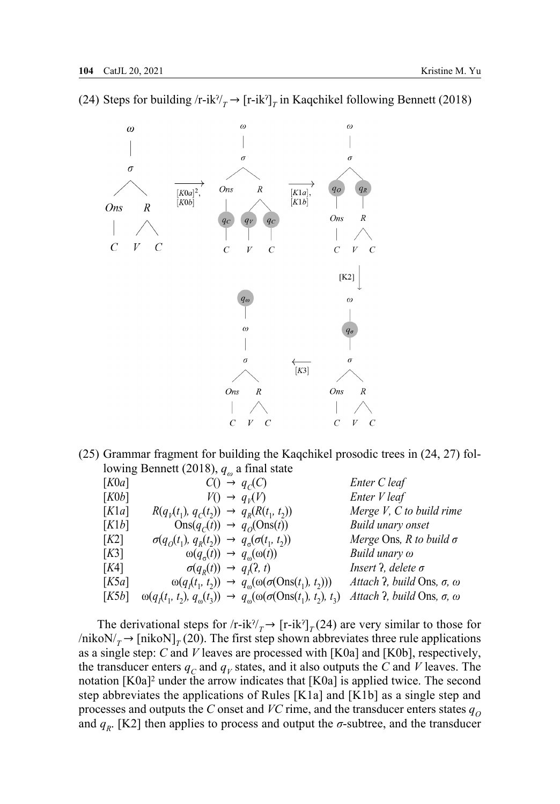$\omega$  $\omega$  $\omega$  $\sigma$  $\sigma$  $\sigma$ Ons  $\overline{R}$  $[K0a]$ <sup>2</sup>  $[K1a],$  $\alpha$ ik $\alpha$ b  $|K1b|$ Ons  $\overline{R}$  $Ons$  $\overline{R}$  $\mathcal{C}_{\mathcal{C}}$  $\overline{U}$  $[K2]$  $\omega$  $\omega$  $\sigma$  $[K3]$ Ons Ons

(24) Steps for building /r-ik<sup>?</sup>/<sub>*T*</sub>  $\rightarrow$  [r-ik<sup>?</sup>]<sub>*T*</sub> in Kaqchikel following Bennett (2018)

(25) Grammar fragment for building the Kaqchikel prosodic trees in (24, 27) following Bennett (2018), *q<sup>ω</sup>* a final state

| [K0a] |                                                                     | $C() \rightarrow q_C(C)$                                                                          | Enter C leaf                                      |
|-------|---------------------------------------------------------------------|---------------------------------------------------------------------------------------------------|---------------------------------------------------|
| [K0b] |                                                                     | $V() \rightarrow q_V(V)$                                                                          | Enter V leaf                                      |
| [K1a] | $R(q_1(t_1), q_2(t_2)) \rightarrow q_R(R(t_1, t_2))$                |                                                                                                   | Merge $V$ , $C$ to build rime                     |
| [K1b] | $\text{Ons}(q_c(t)) \rightarrow q_o(\text{Ons}(t))$                 |                                                                                                   | Build unary onset                                 |
| [K2]  | $\sigma(q_o(t_1), q_R(t_2)) \rightarrow q_\sigma(\sigma(t_1, t_2))$ |                                                                                                   | Merge Ons, R to build $\sigma$                    |
| [K3]  | $\omega(q_{\sigma}(t)) \rightarrow q_{\omega}(\omega(t))$           |                                                                                                   | Build unary $\omega$                              |
| [K4]  | $\sigma(q_p(t)) \rightarrow q_i(2, t)$                              |                                                                                                   | <i>Insert ?, delete</i> $\sigma$                  |
| [K5a] |                                                                     | $\omega(q_t(t_1, t_2)) \rightarrow q_{\omega}(\omega(\sigma(\text{Ons}(t_1), t_2)))$              | Attach $\lambda$ , build Ons, $\sigma$ , $\omega$ |
| [K5b] |                                                                     | $\omega(q_1(t_1, t_2), q_{\omega}(t_3)) \rightarrow q_{\omega}(\omega(\sigma(S(n_1), t_2), t_3))$ | Attach $\lambda$ , build Ons, $\sigma$ , $\omega$ |

The derivational steps for  $\langle r\text{-}ik^{\gamma}\rangle_{T} \rightarrow [r\text{-}ik^{\gamma}]_{T}$  (24) are very similar to those for  $/nikoN/<sub>T</sub> → [nikoN]<sub>T</sub> (20)$ . The first step shown abbreviates three rule applications as a single step: *C* and *V* leaves are processed with [K0a] and [K0b], respectively, the transducer enters  $q_C$  and  $q_V$  states, and it also outputs the *C* and *V* leaves. The notation  $[K0a]^2$  under the arrow indicates that  $[K0a]$  is applied twice. The second step abbreviates the applications of Rules [K1a] and [K1b] as a single step and processes and outputs the *C* onset and *VC* rime, and the transducer enters states  $q_0$ and  $q<sub>R</sub>$ . [K2] then applies to process and output the  $\sigma$ -subtree, and the transducer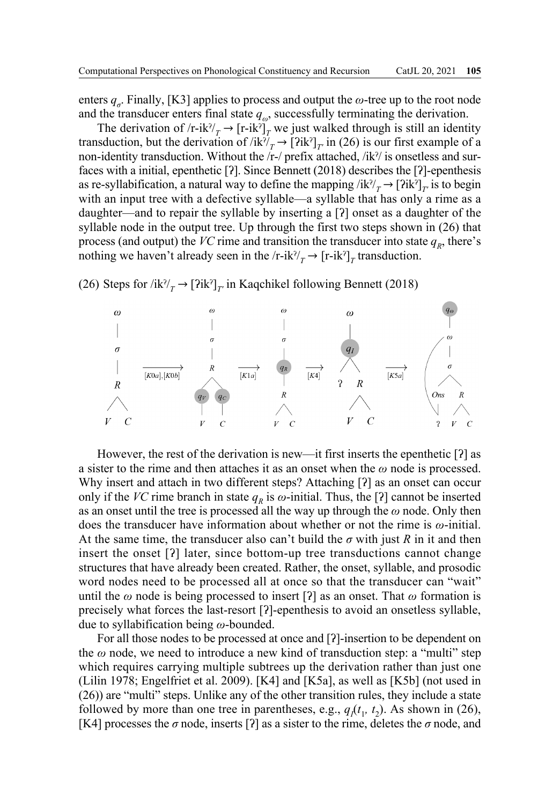enters  $q<sub>σ</sub>$ . Finally, [K3] applies to process and output the  $\omega$ -tree up to the root node and the transducer enters final state  $q_{\omega}$ , successfully terminating the derivation.

The derivation of /r-ik<sup> $\gamma$ </sup>/ $\gamma$  → [r-ik<sup> $\gamma$ </sup>]<sub>*T*</sub> we just walked through is still an identity transduction, but the derivation of  $/ik^{\gamma}/T \rightarrow [2ik^{\gamma}]_{T}$  in (26) is our first example of a non-identity transduction. Without the /r-/ prefix attached, /ikˀ/ is onsetless and surfaces with a initial, epenthetic [ʔ]. Since Bennett (2018) describes the [ʔ]-epenthesis as re-syllabification, a natural way to define the mapping  $/ik^2/\rightarrow [2ik^2]_\tau$  is to begin with an input tree with a defective syllable—a syllable that has only a rime as a daughter—and to repair the syllable by inserting a [ʔ] onset as a daughter of the syllable node in the output tree. Up through the first two steps shown in (26) that process (and output) the *VC* rime and transition the transducer into state  $q<sub>p</sub>$ , there's nothing we haven't already seen in the  $\langle r\text{-}ik^2 \rangle_T$  + [ $\langle r\text{-}ik^2 \rangle_T$  transduction.

## (26) Steps for  $\overrightarrow{n}$   $\overrightarrow{k}$ <sup> $\gamma$ </sup> $\rightarrow$  [?ik<sup>?</sup>]<sub>*T'*</sub> in Kaqchikel following Bennett (2018)



However, the rest of the derivation is new—it first inserts the epenthetic [ʔ] as a sister to the rime and then attaches it as an onset when the *ω* node is processed. Why insert and attach in two different steps? Attaching [?] as an onset can occur only if the *VC* rime branch in state  $q<sub>R</sub>$  is  $\omega$ -initial. Thus, the [?] cannot be inserted as an onset until the tree is processed all the way up through the *ω* node. Only then does the transducer have information about whether or not the rime is *ω*-initial. At the same time, the transducer also can't build the *σ* with just *R* in it and then insert the onset [ʔ] later, since bottom-up tree transductions cannot change structures that have already been created. Rather, the onset, syllable, and prosodic word nodes need to be processed all at once so that the transducer can "wait" until the  $\omega$  node is being processed to insert [?] as an onset. That  $\omega$  formation is precisely what forces the last-resort [ʔ]-epenthesis to avoid an onsetless syllable, due to syllabification being *ω*-bounded.

For all those nodes to be processed at once and [?]-insertion to be dependent on the *ω* node, we need to introduce a new kind of transduction step: a "multi" step which requires carrying multiple subtrees up the derivation rather than just one (Lilin 1978; Engelfriet et al. 2009). [K4] and [K5a], as well as [K5b] (not used in (26)) are "multi" steps. Unlike any of the other transition rules, they include a state followed by more than one tree in parentheses, e.g.,  $q_1(t_1, t_2)$ . As shown in (26), [K4] processes the  $\sigma$  node, inserts [?] as a sister to the rime, deletes the  $\sigma$  node, and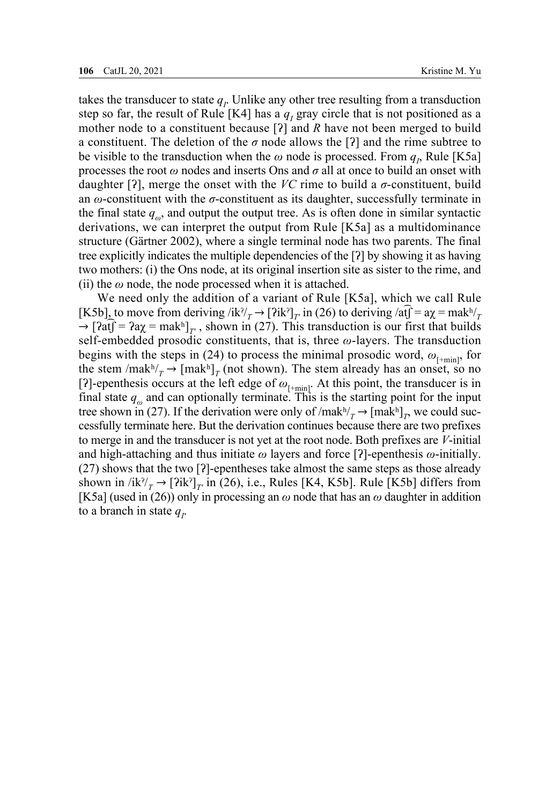takes the transducer to state  $q<sub>I</sub>$ . Unlike any other tree resulting from a transduction step so far, the result of Rule [K4] has a  $q_I$  gray circle that is not positioned as a mother node to a constituent because [ʔ] and *R* have not been merged to build a constituent. The deletion of the  $\sigma$  node allows the [ $\alpha$ ] and the rime subtree to be visible to the transduction when the  $\omega$  node is processed. From  $q_p$ , Rule [K5a] processes the root *ω* nodes and inserts Ons and *σ* all at once to build an onset with daughter [?], merge the onset with the *VC* rime to build a  $\sigma$ -constituent, build an *ω*-constituent with the *σ*-constituent as its daughter, successfully terminate in the final state  $q_{\omega}$ , and output the output tree. As is often done in similar syntactic derivations, we can interpret the output from Rule [K5a] as a multidominance structure (Gärtner 2002), where a single terminal node has two parents. The final tree explicitly indicates the multiple dependencies of the [ʔ] by showing it as having two mothers: (i) the Ons node, at its original insertion site as sister to the rime, and (ii) the  $\omega$  node, the node processed when it is attached.

We need only the addition of a variant of Rule [K5a], which we call Rule [K5b], to move from deriving /ik<sup>?</sup>/<sub>*T*</sub>  $\rightarrow$  [ʔik<sup>?</sup>]<sub>*T'*</sub> in (26) to deriving /at $\hat{f} = a\chi = mak^{\frac{1}{n}}$  $\rightarrow$  [ $\partial \hat{f} = 2a\chi = \text{mak}^h$ ]<sub>*T'*</sub>, shown in (27). This transduction is our first that builds self-embedded prosodic constituents, that is, three *ω*-layers. The transduction begins with the steps in (24) to process the minimal prosodic word,  $\omega_{\text{f+min}}$ , for the stem /mak<sup>h</sup>/ $_T$  → [mak<sup>h</sup>]<sub>T</sub> (not shown). The stem already has an onset, so no [ʔ]-epenthesis occurs at the left edge of  $\omega_{[+min]}$ . At this point, the transducer is in final state  $q_\omega$  and can optionally terminate. This is the starting point for the input tree shown in (27). If the derivation were only of  $/mak^2/\gamma \rightarrow [mak^2]$ <sub>*T*</sub>, we could successfully terminate here. But the derivation continues because there are two prefixes to merge in and the transducer is not yet at the root node. Both prefixes are *V*-initial and high-attaching and thus initiate *ω* layers and force [ʔ]-epenthesis *ω*-initially. (27) shows that the two [ʔ]-epentheses take almost the same steps as those already shown in  $/ik^2/(\tau) \to [2ik^2]_{\tau}$  in (26), i.e., Rules [K4, K5b]. Rule [K5b] differs from [K5a] (used in (26)) only in processing an *ω* node that has an *ω* daughter in addition to a branch in state  $q_i$ .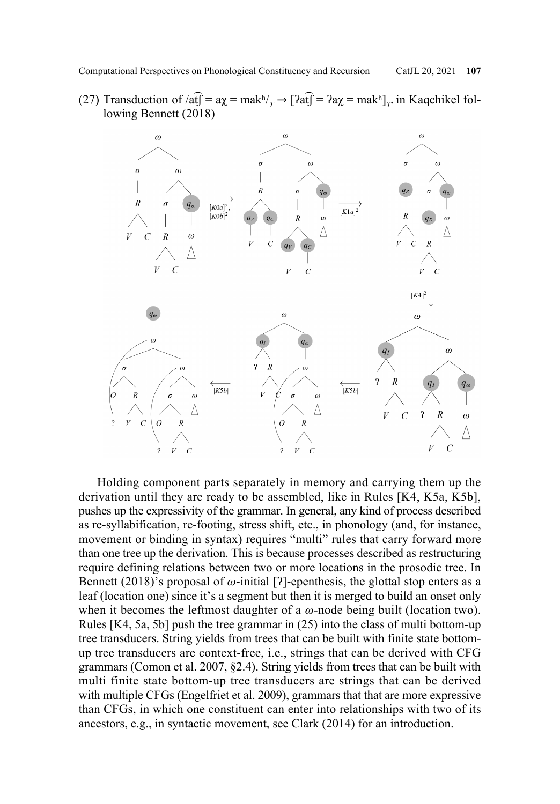(27) Transduction of  $\sqrt{af} = a\chi = mak^h / \sqrt{af} = 2a\chi = mak^h / \sqrt{af}$  in Kaqchikel following Bennett (2018)



Holding component parts separately in memory and carrying them up the derivation until they are ready to be assembled, like in Rules [K4, K5a, K5b], pushes up the expressivity of the grammar. In general, any kind of process described as re-syllabification, re-footing, stress shift, etc., in phonology (and, for instance, movement or binding in syntax) requires "multi" rules that carry forward more than one tree up the derivation. This is because processes described as restructuring require defining relations between two or more locations in the prosodic tree. In Bennett (2018)'s proposal of *ω*-initial [ʔ]-epenthesis, the glottal stop enters as a leaf (location one) since it's a segment but then it is merged to build an onset only when it becomes the leftmost daughter of a *ω*-node being built (location two). Rules [K4, 5a, 5b] push the tree grammar in (25) into the class of multi bottom-up tree transducers. String yields from trees that can be built with finite state bottomup tree transducers are context-free, i.e., strings that can be derived with CFG grammars (Comon et al. 2007, §2.4). String yields from trees that can be built with multi finite state bottom-up tree transducers are strings that can be derived with multiple CFGs (Engelfriet et al. 2009), grammars that that are more expressive than CFGs, in which one constituent can enter into relationships with two of its ancestors, e.g., in syntactic movement, see Clark (2014) for an introduction.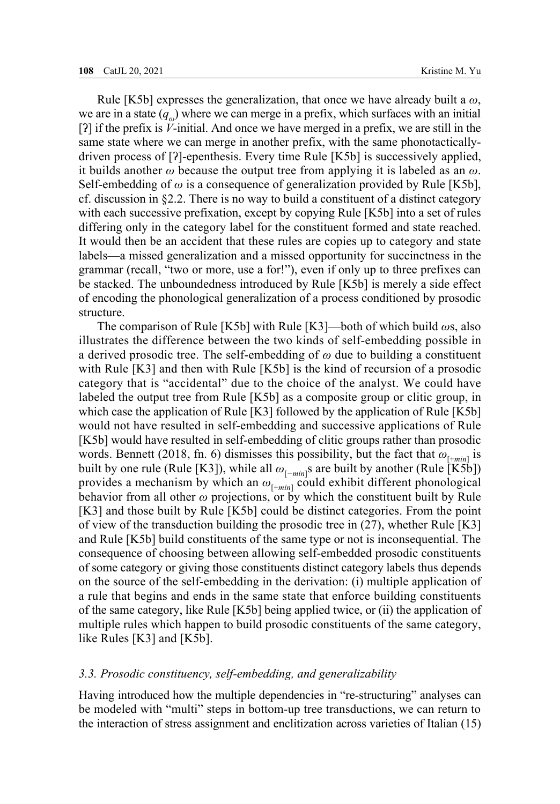Rule [K5b] expresses the generalization, that once we have already built a *ω*, we are in a state  $(q_\mu)$  where we can merge in a prefix, which surfaces with an initial [ʔ] if the prefix is *V*-initial. And once we have merged in a prefix, we are still in the same state where we can merge in another prefix, with the same phonotacticallydriven process of [ʔ]-epenthesis. Every time Rule [K5b] is successively applied, it builds another *ω* because the output tree from applying it is labeled as an *ω*. Self-embedding of *ω* is a consequence of generalization provided by Rule [K5b], cf. discussion in  $\S2.2$ . There is no way to build a constituent of a distinct category with each successive prefixation, except by copying Rule [K5b] into a set of rules differing only in the category label for the constituent formed and state reached. It would then be an accident that these rules are copies up to category and state labels—a missed generalization and a missed opportunity for succinctness in the grammar (recall, "two or more, use a for!"), even if only up to three prefixes can be stacked. The unboundedness introduced by Rule [K5b] is merely a side effect of encoding the phonological generalization of a process conditioned by prosodic structure.

The comparison of Rule [K5b] with Rule [K3]—both of which build *ω*s, also illustrates the difference between the two kinds of self-embedding possible in a derived prosodic tree. The self-embedding of *ω* due to building a constituent with Rule [K3] and then with Rule [K5b] is the kind of recursion of a prosodic category that is "accidental" due to the choice of the analyst. We could have labeled the output tree from Rule [K5b] as a composite group or clitic group, in which case the application of Rule [K3] followed by the application of Rule [K5b] would not have resulted in self-embedding and successive applications of Rule [K5b] would have resulted in self-embedding of clitic groups rather than prosodic words. Bennett (2018, fn. 6) dismisses this possibility, but the fact that  $\omega_{\text{[+min]}}$  is built by one rule (Rule [K3]), while all *ω*[*−min*] s are built by another (Rule [K5b]) provides a mechanism by which an  $\omega_{\text{[+min]}}$  could exhibit different phonological behavior from all other *ω* projections, or by which the constituent built by Rule [K3] and those built by Rule [K5b] could be distinct categories. From the point of view of the transduction building the prosodic tree in (27), whether Rule [K3] and Rule [K5b] build constituents of the same type or not is inconsequential. The consequence of choosing between allowing self-embedded prosodic constituents of some category or giving those constituents distinct category labels thus depends on the source of the self-embedding in the derivation: (i) multiple application of a rule that begins and ends in the same state that enforce building constituents of the same category, like Rule [K5b] being applied twice, or (ii) the application of multiple rules which happen to build prosodic constituents of the same category, like Rules [K3] and [K5b].

#### *3.3. Prosodic constituency, self-embedding, and generalizability*

Having introduced how the multiple dependencies in "re-structuring" analyses can be modeled with "multi" steps in bottom-up tree transductions, we can return to the interaction of stress assignment and enclitization across varieties of Italian (15)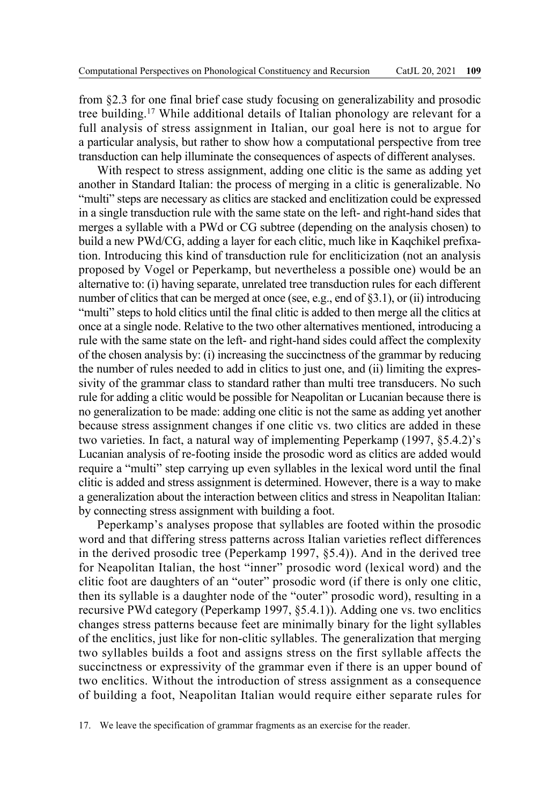from §2.3 for one final brief case study focusing on generalizability and prosodic tree building.17 While additional details of Italian phonology are relevant for a full analysis of stress assignment in Italian, our goal here is not to argue for a particular analysis, but rather to show how a computational perspective from tree transduction can help illuminate the consequences of aspects of different analyses.

With respect to stress assignment, adding one clitic is the same as adding yet another in Standard Italian: the process of merging in a clitic is generalizable. No "multi" steps are necessary as clitics are stacked and enclitization could be expressed in a single transduction rule with the same state on the left- and right-hand sides that merges a syllable with a PWd or CG subtree (depending on the analysis chosen) to build a new PWd/CG, adding a layer for each clitic, much like in Kaqchikel prefixation. Introducing this kind of transduction rule for encliticization (not an analysis proposed by Vogel or Peperkamp, but nevertheless a possible one) would be an alternative to: (i) having separate, unrelated tree transduction rules for each different number of clitics that can be merged at once (see, e.g., end of §3.1), or (ii) introducing "multi" steps to hold clitics until the final clitic is added to then merge all the clitics at once at a single node. Relative to the two other alternatives mentioned, introducing a rule with the same state on the left- and right-hand sides could affect the complexity of the chosen analysis by: (i) increasing the succinctness of the grammar by reducing the number of rules needed to add in clitics to just one, and (ii) limiting the expressivity of the grammar class to standard rather than multi tree transducers. No such rule for adding a clitic would be possible for Neapolitan or Lucanian because there is no generalization to be made: adding one clitic is not the same as adding yet another because stress assignment changes if one clitic vs. two clitics are added in these two varieties. In fact, a natural way of implementing Peperkamp (1997, §5.4.2)'s Lucanian analysis of re-footing inside the prosodic word as clitics are added would require a "multi" step carrying up even syllables in the lexical word until the final clitic is added and stress assignment is determined. However, there is a way to make a generalization about the interaction between clitics and stress in Neapolitan Italian: by connecting stress assignment with building a foot.

Peperkamp's analyses propose that syllables are footed within the prosodic word and that differing stress patterns across Italian varieties reflect differences in the derived prosodic tree (Peperkamp 1997, §5.4)). And in the derived tree for Neapolitan Italian, the host "inner" prosodic word (lexical word) and the clitic foot are daughters of an "outer" prosodic word (if there is only one clitic, then its syllable is a daughter node of the "outer" prosodic word), resulting in a recursive PWd category (Peperkamp 1997, §5.4.1)). Adding one vs. two enclitics changes stress patterns because feet are minimally binary for the light syllables of the enclitics, just like for non-clitic syllables. The generalization that merging two syllables builds a foot and assigns stress on the first syllable affects the succinctness or expressivity of the grammar even if there is an upper bound of two enclitics. Without the introduction of stress assignment as a consequence of building a foot, Neapolitan Italian would require either separate rules for

17. We leave the specification of grammar fragments as an exercise for the reader.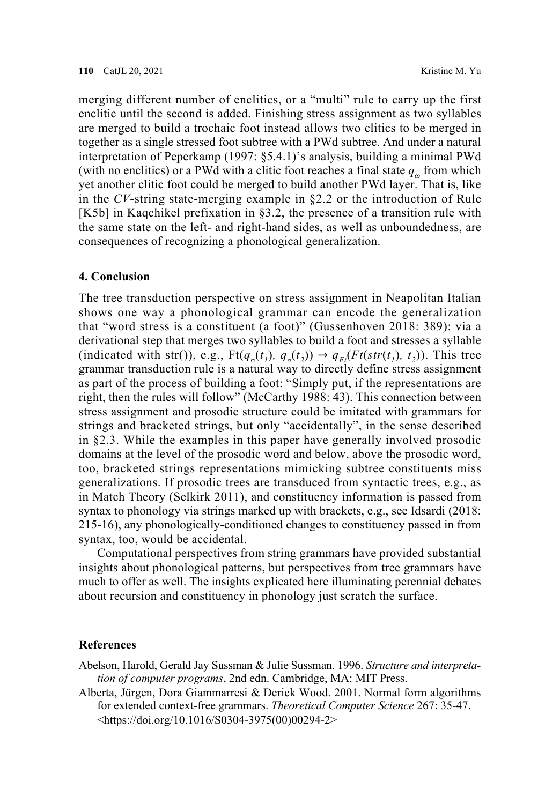merging different number of enclitics, or a "multi" rule to carry up the first enclitic until the second is added. Finishing stress assignment as two syllables are merged to build a trochaic foot instead allows two clitics to be merged in together as a single stressed foot subtree with a PWd subtree. And under a natural interpretation of Peperkamp (1997: §5.4.1)'s analysis, building a minimal PWd (with no enclitics) or a PWd with a clitic foot reaches a final state *qω* from which yet another clitic foot could be merged to build another PWd layer. That is, like in the *CV*-string state-merging example in §2.2 or the introduction of Rule [K5b] in Kaqchikel prefixation in §3.2, the presence of a transition rule with the same state on the left- and right-hand sides, as well as unboundedness, are consequences of recognizing a phonological generalization.

## **4. Conclusion**

The tree transduction perspective on stress assignment in Neapolitan Italian shows one way a phonological grammar can encode the generalization that "word stress is a constituent (a foot)" (Gussenhoven 2018: 389): via a derivational step that merges two syllables to build a foot and stresses a syllable (indicated with str()), e.g.,  $Ft(q_a(t_i), q_a(t_i)) \rightarrow q_{F}(Ft(str(t_i), t_i))$ . This tree grammar transduction rule is a natural way to directly define stress assignment as part of the process of building a foot: "Simply put, if the representations are right, then the rules will follow" (McCarthy 1988: 43). This connection between stress assignment and prosodic structure could be imitated with grammars for strings and bracketed strings, but only "accidentally", in the sense described in §2.3. While the examples in this paper have generally involved prosodic domains at the level of the prosodic word and below, above the prosodic word, too, bracketed strings representations mimicking subtree constituents miss generalizations. If prosodic trees are transduced from syntactic trees, e.g., as in Match Theory (Selkirk 2011), and constituency information is passed from syntax to phonology via strings marked up with brackets, e.g., see Idsardi (2018: 215-16), any phonologically-conditioned changes to constituency passed in from syntax, too, would be accidental.

Computational perspectives from string grammars have provided substantial insights about phonological patterns, but perspectives from tree grammars have much to offer as well. The insights explicated here illuminating perennial debates about recursion and constituency in phonology just scratch the surface.

## **References**

Abelson, Harold, Gerald Jay Sussman & Julie Sussman. 1996. *Structure and interpretation of computer programs*, 2nd edn. Cambridge, MA: MIT Press.

Alberta, Jürgen, Dora Giammarresi & Derick Wood. 2001. Normal form algorithms for extended context-free grammars. *Theoretical Computer Science* 267: 35-47. <https://doi.org/10.1016/S0304-3975(00)00294-2>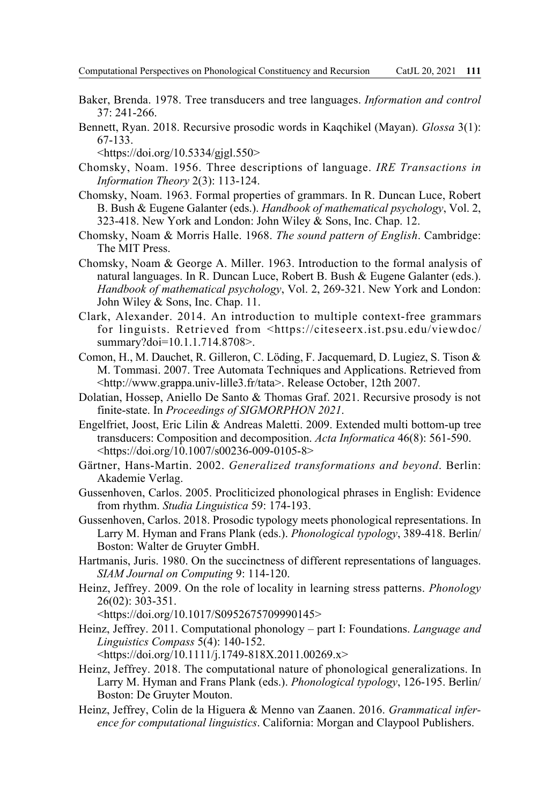- Baker, Brenda. 1978. Tree transducers and tree languages. *Information and control*  37: 241-266.
- Bennett, Ryan. 2018. Recursive prosodic words in Kaqchikel (Mayan). *Glossa* 3(1): 67-133.

<https://doi.org/10.5334/gjgl.550>

- Chomsky, Noam. 1956. Three descriptions of language. *IRE Transactions in Information Theory* 2(3): 113-124.
- Chomsky, Noam. 1963. Formal properties of grammars. In R. Duncan Luce, Robert B. Bush & Eugene Galanter (eds.). *Handbook of mathematical psychology*, Vol. 2, 323-418. New York and London: John Wiley & Sons, Inc. Chap. 12.
- Chomsky, Noam & Morris Halle. 1968. *The sound pattern of English*. Cambridge: The MIT Press.
- Chomsky, Noam & George A. Miller. 1963. Introduction to the formal analysis of natural languages. In R. Duncan Luce, Robert B. Bush & Eugene Galanter (eds.). *Handbook of mathematical psychology*, Vol. 2, 269-321. New York and London: John Wiley & Sons, Inc. Chap. 11.
- Clark, Alexander. 2014. An introduction to multiple context-free grammars for linguists. Retrieved from <https://citeseerx.ist.psu.edu/viewdoc/ summary?doi=10.1.1.714.8708>.
- Comon, H., M. Dauchet, R. Gilleron, C. Löding, F. Jacquemard, D. Lugiez, S. Tison & M. Tommasi. 2007. Tree Automata Techniques and Applications. Retrieved from <http://www.grappa.univ-lille3.fr/tata>. Release October, 12th 2007.
- Dolatian, Hossep, Aniello De Santo & Thomas Graf. 2021. Recursive prosody is not finite-state. In *Proceedings of SIGMORPHON 2021*.
- Engelfriet, Joost, Eric Lilin & Andreas Maletti. 2009. Extended multi bottom-up tree transducers: Composition and decomposition. *Acta Informatica* 46(8): 561-590. <https://doi.org/10.1007/s00236-009-0105-8>
- Gärtner, Hans-Martin. 2002. *Generalized transformations and beyond*. Berlin: Akademie Verlag.
- Gussenhoven, Carlos. 2005. Procliticized phonological phrases in English: Evidence from rhythm. *Studia Linguistica* 59: 174-193.
- Gussenhoven, Carlos. 2018. Prosodic typology meets phonological representations. In Larry M. Hyman and Frans Plank (eds.). *Phonological typology*, 389-418. Berlin/ Boston: Walter de Gruyter GmbH.
- Hartmanis, Juris. 1980. On the succinctness of different representations of languages. *SIAM Journal on Computing* 9: 114-120.
- Heinz, Jeffrey. 2009. On the role of locality in learning stress patterns. *Phonology*  26(02): 303-351.

<https://doi.org/10.1017/S0952675709990145>

Heinz, Jeffrey. 2011. Computational phonology – part I: Foundations. *Language and Linguistics Compass* 5(4): 140-152.

<https://doi.org/10.1111/j.1749-818X.2011.00269.x>

- Heinz, Jeffrey. 2018. The computational nature of phonological generalizations. In Larry M. Hyman and Frans Plank (eds.). *Phonological typology*, 126-195. Berlin/ Boston: De Gruyter Mouton.
- Heinz, Jeffrey, Colin de la Higuera & Menno van Zaanen. 2016. *Grammatical inference for computational linguistics*. California: Morgan and Claypool Publishers.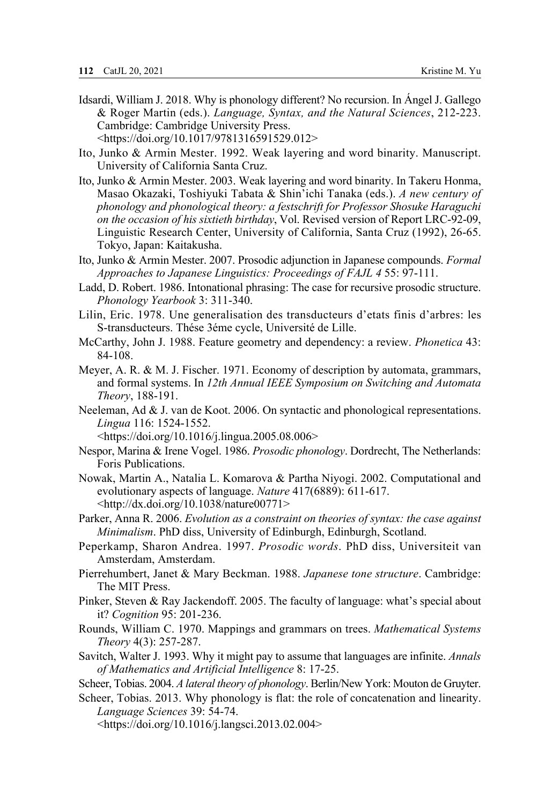- Idsardi, William J. 2018. Why is phonology different? No recursion. In Ángel J. Gallego & Roger Martin (eds.). *Language, Syntax, and the Natural Sciences*, 212-223. Cambridge: Cambridge University Press. <https://doi.org/10.1017/9781316591529.012>
- Ito, Junko & Armin Mester. 1992. Weak layering and word binarity. Manuscript. University of California Santa Cruz.
- Ito, Junko & Armin Mester. 2003. Weak layering and word binarity. In Takeru Honma, Masao Okazaki, Toshiyuki Tabata & Shin'ichi Tanaka (eds.). *A new century of phonology and phonological theory: a festschrift for Professor Shosuke Haraguchi on the occasion of his sixtieth birthday*, Vol. Revised version of Report LRC-92-09, Linguistic Research Center, University of California, Santa Cruz (1992), 26-65. Tokyo, Japan: Kaitakusha.
- Ito, Junko & Armin Mester. 2007. Prosodic adjunction in Japanese compounds. *Formal Approaches to Japanese Linguistics: Proceedings of FAJL 4* 55: 97-111.
- Ladd, D. Robert. 1986. Intonational phrasing: The case for recursive prosodic structure. *Phonology Yearbook* 3: 311-340.
- Lilin, Eric. 1978. Une generalisation des transducteurs d'etats finis d'arbres: les S-transducteurs. Thése 3éme cycle, Université de Lille.
- McCarthy, John J. 1988. Feature geometry and dependency: a review. *Phonetica* 43: 84-108.
- Meyer, A. R. & M. J. Fischer. 1971. Economy of description by automata, grammars, and formal systems. In *12th Annual IEEE Symposium on Switching and Automata Theory*, 188-191.
- Neeleman, Ad & J. van de Koot. 2006. On syntactic and phonological representations. *Lingua* 116: 1524-1552.

<https://doi.org/10.1016/j.lingua.2005.08.006>

- Nespor, Marina & Irene Vogel. 1986. *Prosodic phonology*. Dordrecht, The Netherlands: Foris Publications.
- Nowak, Martin A., Natalia L. Komarova & Partha Niyogi. 2002. Computational and evolutionary aspects of language. *Nature* 417(6889): 611-617. <http://dx.doi.org/10.1038/nature00771>
- Parker, Anna R. 2006. *Evolution as a constraint on theories of syntax: the case against Minimalism*. PhD diss, University of Edinburgh, Edinburgh, Scotland.
- Peperkamp, Sharon Andrea. 1997. *Prosodic words*. PhD diss, Universiteit van Amsterdam, Amsterdam.
- Pierrehumbert, Janet & Mary Beckman. 1988. *Japanese tone structure*. Cambridge: The MIT Press.
- Pinker, Steven & Ray Jackendoff. 2005. The faculty of language: what's special about it? *Cognition* 95: 201-236.
- Rounds, William C. 1970. Mappings and grammars on trees. *Mathematical Systems Theory* 4(3): 257-287.
- Savitch, Walter J. 1993. Why it might pay to assume that languages are infinite. *Annals of Mathematics and Artificial Intelligence* 8: 17-25.
- Scheer, Tobias. 2004. *A lateral theory of phonology*. Berlin/New York: Mouton de Gruyter.
- Scheer, Tobias. 2013. Why phonology is flat: the role of concatenation and linearity. *Language Sciences* 39: 54-74.

<https://doi.org/10.1016/j.langsci.2013.02.004>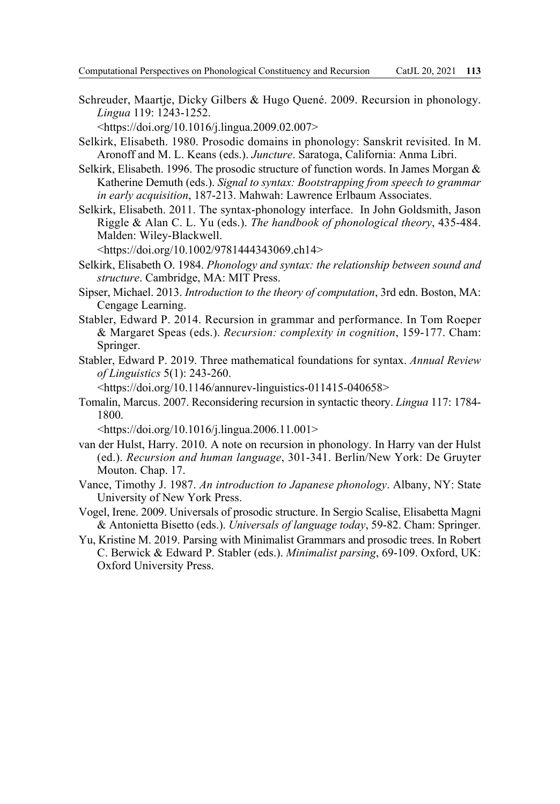Schreuder, Maartje, Dicky Gilbers & Hugo Quené. 2009. Recursion in phonology. *Lingua* 119: 1243-1252.

<https://doi.org/10.1016/j.lingua.2009.02.007>

- Selkirk, Elisabeth. 1980. Prosodic domains in phonology: Sanskrit revisited. In M. Aronoff and M. L. Keans (eds.). *Juncture*. Saratoga, California: Anma Libri.
- Selkirk, Elisabeth. 1996. The prosodic structure of function words. In James Morgan  $\&$ Katherine Demuth (eds.). *Signal to syntax: Bootstrapping from speech to grammar in early acquisition*, 187-213. Mahwah: Lawrence Erlbaum Associates.
- Selkirk, Elisabeth. 2011. The syntax-phonology interface. In John Goldsmith, Jason Riggle & Alan C. L. Yu (eds.). *The handbook of phonological theory*, 435-484. Malden: Wiley-Blackwell.

<https://doi.org/10.1002/9781444343069.ch14>

- Selkirk, Elisabeth O. 1984. *Phonology and syntax: the relationship between sound and structure*. Cambridge, MA: MIT Press.
- Sipser, Michael. 2013. *Introduction to the theory of computation*, 3rd edn. Boston, MA: Cengage Learning.
- Stabler, Edward P. 2014. Recursion in grammar and performance. In Tom Roeper & Margaret Speas (eds.). *Recursion: complexity in cognition*, 159-177. Cham: Springer.
- Stabler, Edward P. 2019. Three mathematical foundations for syntax. *Annual Review of Linguistics* 5(1): 243-260.

<https://doi.org/10.1146/annurev-linguistics-011415-040658>

Tomalin, Marcus. 2007. Reconsidering recursion in syntactic theory. *Lingua* 117: 1784- 1800.

<https://doi.org/10.1016/j.lingua.2006.11.001>

- van der Hulst, Harry. 2010. A note on recursion in phonology. In Harry van der Hulst (ed.). *Recursion and human language*, 301-341. Berlin/New York: De Gruyter Mouton. Chap. 17.
- Vance, Timothy J. 1987. *An introduction to Japanese phonology*. Albany, NY: State University of New York Press.
- Vogel, Irene. 2009. Universals of prosodic structure. In Sergio Scalise, Elisabetta Magni & Antonietta Bisetto (eds.). *Universals of language today*, 59-82. Cham: Springer.
- Yu, Kristine M. 2019. Parsing with Minimalist Grammars and prosodic trees. In Robert C. Berwick & Edward P. Stabler (eds.). *Minimalist parsing*, 69-109. Oxford, UK: Oxford University Press.